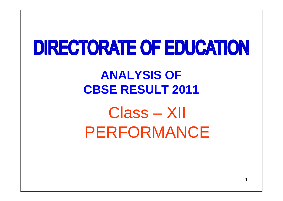# **DIRECTORATE OF EDUCATION**

## **ANALYSIS OF CBSE RESULT 2011**

Class – XII PERFORMANCE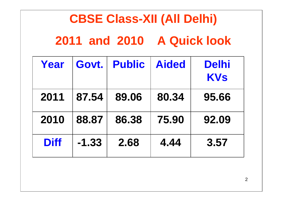## **CBSE Class-XII (All Delhi)**

**2011 and 2010 A Quick look**

| Year        | Govt.   | <b>Public</b> | <b>Aided</b> | <b>Delhi</b><br><b>KVs</b> |
|-------------|---------|---------------|--------------|----------------------------|
| 2011        | 87.54   | 89.06         | 80.34        | 95.66                      |
| 2010        | 88.87   | 86.38         | 75.90        | 92.09                      |
| <b>Diff</b> | $-1.33$ | 2.68          | 4.44         | 3.57                       |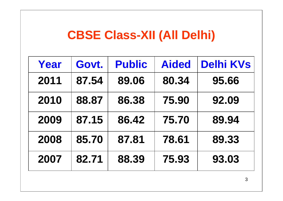### **CBSE Class-XII (All Delhi)**

| Year | Govt. | <b>Public</b> | <b>Aided</b> | <b>Delhi KVs</b> |
|------|-------|---------------|--------------|------------------|
| 2011 | 87.54 | 89.06         | 80.34        | 95.66            |
| 2010 | 88.87 | 86.38         | 75.90        | 92.09            |
| 2009 | 87.15 | 86.42         | 75.70        | 89.94            |
| 2008 | 85.70 | 87.81         | 78.61        | 89.33            |
| 2007 | 82.71 | 88.39         | 75.93        | 93.03            |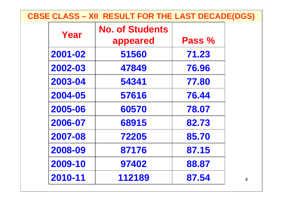#### **CBSE CLASS – XII RESULT FOR THE LAST DECADE(DGS)**

| Year    | <b>No. of Students</b><br>appeared | Pass % |                |
|---------|------------------------------------|--------|----------------|
| 2001-02 | 51560                              | 71.23  |                |
| 2002-03 | 47849                              | 76.96  |                |
| 2003-04 | 54341                              | 77.80  |                |
| 2004-05 | 57616                              | 76.44  |                |
| 2005-06 | 60570                              | 78.07  |                |
| 2006-07 | 68915                              | 82.73  |                |
| 2007-08 | 72205                              | 85.70  |                |
| 2008-09 | 87176                              | 87.15  |                |
| 2009-10 | 97402                              | 88.87  |                |
| 2010-11 | 112189                             | 87.54  | $\overline{4}$ |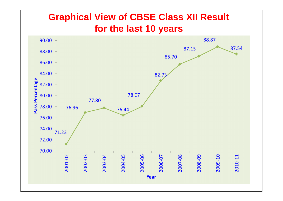#### **Graphical View of CBSE Class XII Result for the last 10 years**

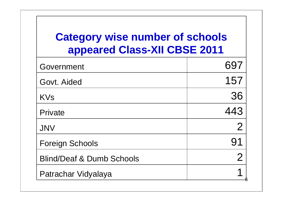### **Category wise number of schools appeared Class-XII CBSE 2011**

| Government                           | 697            |
|--------------------------------------|----------------|
| Govt. Aided                          | 157            |
| <b>KVs</b>                           | 36             |
| Private                              | 443            |
| <b>JNV</b>                           | $\overline{2}$ |
| <b>Foreign Schools</b>               | 91             |
| <b>Blind/Deaf &amp; Dumb Schools</b> | $\overline{2}$ |
| Patrachar Vidyalaya                  |                |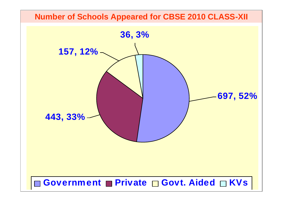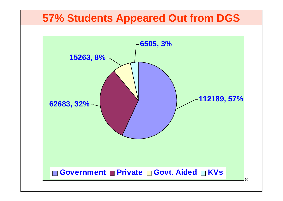#### **57% Students Appeared Out from DGS**

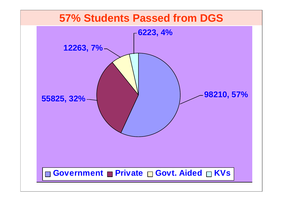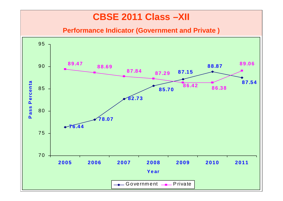#### **CBSE 2011 Class –XII**

**Performance Indicator (Government and Private )**

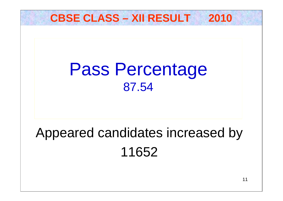### **CBSE CLASS – XII RESULT 2010**

## Pass Percentage 87.54

## Appeared candidates increased by 11652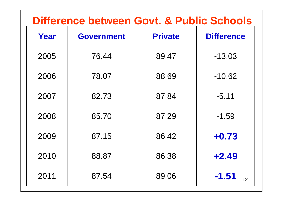### **Difference between Govt. & Public Schools**

| Year | <b>Government</b> | <b>Private</b> | <b>Difference</b>           |
|------|-------------------|----------------|-----------------------------|
| 2005 | 76.44             | 89.47          | $-13.03$                    |
| 2006 | 78.07             | 88.69          | $-10.62$                    |
| 2007 | 82.73             | 87.84          | $-5.11$                     |
| 2008 | 85.70             | 87.29          | $-1.59$                     |
| 2009 | 87.15             | 86.42          | $+0.73$                     |
| 2010 | 88.87             | 86.38          | $+2.49$                     |
| 2011 | 87.54             | 89.06          | $-1.51$<br>12 <sup>12</sup> |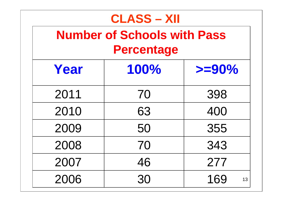| <b>CLASS - XII</b><br><b>Number of Schools with Pass</b><br><b>Percentage</b> |      |           |  |  |  |  |
|-------------------------------------------------------------------------------|------|-----------|--|--|--|--|
| Year                                                                          | 100% | $>=$ 90%  |  |  |  |  |
| 2011                                                                          | 70   | 398       |  |  |  |  |
| 2010                                                                          | 63   | 400       |  |  |  |  |
| 2009                                                                          | 50   | 355       |  |  |  |  |
| 2008                                                                          | 70   | 343       |  |  |  |  |
| 2007                                                                          | 46   | 277       |  |  |  |  |
| 2006                                                                          | 30   | 169<br>13 |  |  |  |  |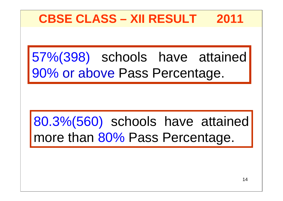## **CBSE CLASS – XII RESULT 2011**

57%(398) schools have attained 90% or above Pass Percentage.

## 80.3%(560) schools have attained more than 80% Pass Percentage.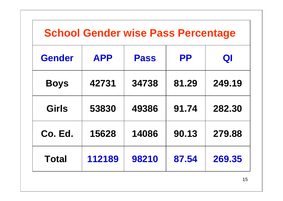|               | <b>School Gender wise Pass Percentage</b> |             |           |        |
|---------------|-------------------------------------------|-------------|-----------|--------|
| <b>Gender</b> | <b>APP</b>                                | <b>Pass</b> | <b>PP</b> | QI     |
| <b>Boys</b>   | 42731                                     | 34738       | 81.29     | 249.19 |
| <b>Girls</b>  | 53830                                     | 49386       | 91.74     | 282.30 |
| Co. Ed.       | 15628                                     | 14086       | 90.13     | 279.88 |
| <b>Total</b>  | 112189                                    | 98210       | 87.54     | 269.35 |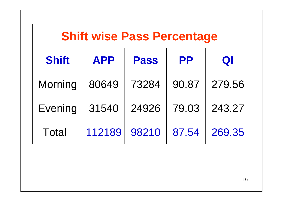| <b>Shift wise Pass Percentage</b> |            |             |           |        |  |  |  |
|-----------------------------------|------------|-------------|-----------|--------|--|--|--|
| <b>Shift</b>                      | <b>APP</b> | <b>Pass</b> | <b>PP</b> | QI     |  |  |  |
| Morning                           | 80649      | 73284       | 90.87     | 279.56 |  |  |  |
| Evening                           | 31540      | 24926       | 79.03     | 243.27 |  |  |  |
| <b>Total</b>                      | 112189     | 98210       | 87.54     | 269.35 |  |  |  |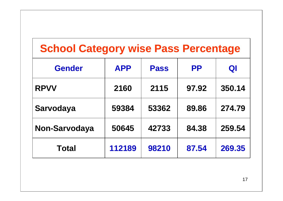### **School Category wise Pass Percentage**

| <b>Gender</b> | <b>APP</b> | <b>Pass</b> | <b>PP</b> | QI     |
|---------------|------------|-------------|-----------|--------|
| <b>RPVV</b>   | 2160       | 2115        | 97.92     | 350.14 |
| Sarvodaya     | 59384      | 53362       | 89.86     | 274.79 |
| Non-Sarvodaya | 50645      | 42733       | 84.38     | 259.54 |
| <b>Total</b>  | 112189     | 98210       | 87.54     | 269.35 |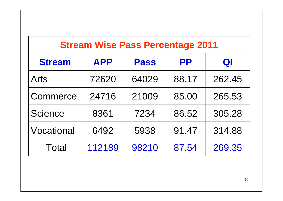| <b>Stream Wise Pass Percentage 2011</b>                       |        |       |       |        |  |  |  |
|---------------------------------------------------------------|--------|-------|-------|--------|--|--|--|
| <b>APP</b><br><b>Stream</b><br><b>PP</b><br><b>Pass</b><br>QI |        |       |       |        |  |  |  |
| <b>Arts</b>                                                   | 72620  | 64029 | 88.17 | 262.45 |  |  |  |
| Commerce                                                      | 24716  | 21009 | 85.00 | 265.53 |  |  |  |
| Science                                                       | 8361   | 7234  | 86.52 | 305.28 |  |  |  |
| Vocational                                                    | 6492   | 5938  | 91.47 | 314.88 |  |  |  |
| Total                                                         | 112189 | 98210 | 87.54 | 269.35 |  |  |  |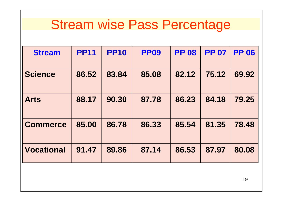## Stream wise Pass Percentage

| <b>Stream</b>     | <b>PP11</b> | <b>PP10</b> | <b>PP09</b> | <b>PP 08</b> | <b>PP 07</b> | <b>PP 06</b> |
|-------------------|-------------|-------------|-------------|--------------|--------------|--------------|
| <b>Science</b>    | 86.52       | 83.84       | 85.08       | 82.12        | 75.12        | 69.92        |
| <b>Arts</b>       | 88.17       | 90.30       | 87.78       | 86.23        | 84.18        | 79.25        |
| <b>Commerce</b>   | 85,00       | 86.78       | 86.33       | 85.54        | 81.35        | 78.48        |
| <b>Vocational</b> | 91.47       | 89.86       | 87.14       | 86.53        | 87.97        | 80.08        |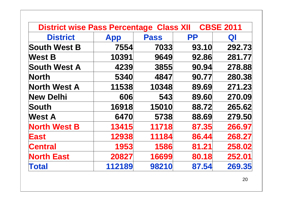| <b>District wise Pass Percentage Class XII</b> |            |             |           | <b>CBSE 2011</b> |
|------------------------------------------------|------------|-------------|-----------|------------------|
| <b>District</b>                                | <b>App</b> | <b>Pass</b> | <b>PP</b> | Q                |
| <b>South West B</b>                            | 7554       | 7033        | 93.10     | 292.73           |
| <b>West B</b>                                  | 10391      | 9649        | 92.86     | 281.77           |
| <b>South West A</b>                            | 4239       | 3855        | 90.94     | 278.88           |
| <b>North</b>                                   | 5340       | 4847        | 90.77     | 280.38           |
| <b>North West A</b>                            | 11538      | 10348       | 89.69     | 271.23           |
| <b>New Delhi</b>                               | 606        | 543         | 89.60     | 270.09           |
| South                                          | 16918      | 15010       | 88.72     | 265.62           |
| <b>West A</b>                                  | 6470       | 5738        | 88.69     | 279.50           |
| <b>North West B</b>                            | 13415      | 11718       | 87.35     | 266.97           |
| <b>East</b>                                    | 12938      | 11184       | 86.44     | 268.27           |
| <b>Central</b>                                 | 1953       | 1586        | 81.21     | 258.02           |
| <b>North East</b>                              | 20827      | 16699       | 80.18     | 252.01           |
| <b>Total</b>                                   | 112189     | 98210       | 87.54     | 269.35           |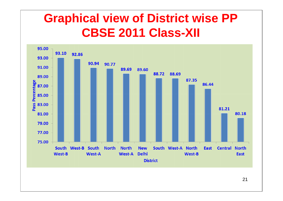## **Graphical view of District wise PP CBSE 2011 Class-XII**



21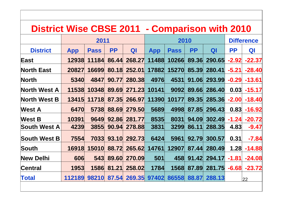#### **District Wise CBSE 2011 - Comparison with 2010**

|                     |            | 2011        |           |        |            | 2010        |           | <b>Difference</b> |           |          |
|---------------------|------------|-------------|-----------|--------|------------|-------------|-----------|-------------------|-----------|----------|
| <b>District</b>     | <b>App</b> | <b>Pass</b> | <b>PP</b> | QI     | <b>App</b> | <b>Pass</b> | <b>PP</b> | QI                | <b>PP</b> | QI       |
| East                | 12938      | 11184       | 86.44     | 268.27 | 11488      | 10266       | 89.36     | 290.65            | $-2.92$   | $-22.37$ |
| <b>North East</b>   | 20827      | 16699       | 80.18     | 252.01 | 17882      | 15270       | 85.39     | 280.41            | $-5.21$   | $-28.40$ |
| <b>North</b>        | 5340       | 4847        | 90.77     | 280.38 | 4976       | 4531        | 91.06     | 293.99            | $-0.29$   | $-13.61$ |
| <b>North West A</b> | 11538      | 10348       | 89.69     | 271.23 | 10141      | 9092        | 89.66     | 286.40            | 0.03      | $-15.17$ |
| <b>North West B</b> | 13415      | 11718       | 87.35     | 266.97 | 11390      | 10177       | 89.35     | 285.36            | $-2.00$   | $-18.40$ |
| <b>West A</b>       | 6470       | 5738        | 88.69     | 279.50 | 5689       | 4998        | 87.85     | 296.43            | 0.83      | $-16.92$ |
| <b>West B</b>       | 10391      | 9649        | 92.86     | 281.77 | 8535       | 8031        | 94.09     | 302.49            | $-1.24$   | $-20.72$ |
| <b>South West A</b> | 4239       | 3855        | 90.94     | 278.88 | 3831       | 3299        | 86.11     | 288.35            | 4.83      | $-9.47$  |
| <b>South West B</b> | 7554       | 7033        | 93.10     | 292.73 | 6424       | 5961        | 92.79     | 300.57            | 0.31      | $-7.84$  |
| South               | 16918      | 15010       | 88.72     | 265.62 | 14761      | 12907       | 87.44     | 280.49            | 1.28      | $-14.88$ |
| <b>New Delhi</b>    | 606        | 543         | 89.60     | 270.09 | 501        | 458         | 91.42     | 294.17            | $-1.81$   | $-24.08$ |
| Central             | 1953       | 1586        | 81.21     | 258.02 | 1784       | 1568        | 87.89     | 281.75            | $-6.68$   | $-23.72$ |
| <b>Total</b>        | 112189     | 98210       | 87.54     | 269.35 | 97402      | 86558       | 88.87     | 288.13            |           | 22       |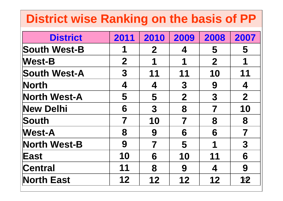## **District wise Ranking on the basis of PP**

| <b>District</b>     | 2011                    | 2010             | 2009             | 2008             | 2007                    |
|---------------------|-------------------------|------------------|------------------|------------------|-------------------------|
| <b>South West-B</b> | 1                       | $\mathbf{2}$     | 4                | 5                | 5                       |
| <b>West-B</b>       | $\mathbf 2$             | 1                | 1                | $\boldsymbol{2}$ | 1                       |
| <b>South West-A</b> | 3                       | 11               | 11               | 10               | 11                      |
| <b>North</b>        | 4                       | 4                | $\boldsymbol{3}$ | 9                | 4                       |
| <b>North West-A</b> | 5                       | 5                | $\mathbf 2$      | 3                | $\boldsymbol{2}$        |
| <b>New Delhi</b>    | 6                       | $\boldsymbol{3}$ | 8                | 7                | 10                      |
| South               | $\overline{\mathbf{7}}$ | 10               | 7                | 8                | 8                       |
| <b>West-A</b>       | 8                       | 9                | 6                | 6                | $\overline{\mathbf{7}}$ |
| <b>North West-B</b> | 9                       | 7                | 5                | 1                | 3                       |
| East                | 10                      | 6                | 10               | 11               | 6                       |
| Central             | 11                      | 8                | 9                | 4                | 9                       |
| <b>North East</b>   | 12                      | 12               | 12               | 12               | 12                      |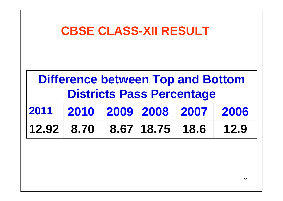|       | <b>CBSE CLASS-XII RESULT</b>                                                 |  |            |      |      |  |  |  |  |  |  |
|-------|------------------------------------------------------------------------------|--|------------|------|------|--|--|--|--|--|--|
|       | <b>Difference between Top and Bottom</b><br><b>Districts Pass Percentage</b> |  |            |      |      |  |  |  |  |  |  |
| 2011  | 2010<br>2009 2008<br>2007<br>2006                                            |  |            |      |      |  |  |  |  |  |  |
| 12.92 | 8.70                                                                         |  | 8.67 18.75 | 18.6 | 12.9 |  |  |  |  |  |  |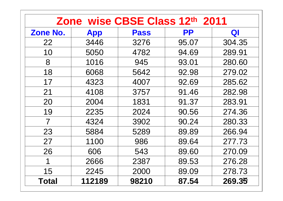|          |            | Zone wise CBSE Class 12th 2011 |           |        |
|----------|------------|--------------------------------|-----------|--------|
| Zone No. | <b>App</b> | <b>Pass</b>                    | <b>PP</b> | QI     |
| 22       | 3446       | 3276                           | 95.07     | 304.35 |
| 10       | 5050       | 4782                           | 94.69     | 289.91 |
| 8        | 1016       | 945                            | 93.01     | 280.60 |
| 18       | 6068       | 5642                           | 92.98     | 279.02 |
| 17       | 4323       | 4007                           | 92.69     | 285.62 |
| 21       | 4108       | 3757                           | 91.46     | 282.98 |
| 20       | 2004       | 1831                           | 91.37     | 283.91 |
| 19       | 2235       | 2024                           | 90.56     | 274.36 |
| 7        | 4324       | 3902                           | 90.24     | 280.33 |
| 23       | 5884       | 5289                           | 89.89     | 266.94 |
| 27       | 1100       | 986                            | 89.64     | 277.73 |
| 26       | 606        | 543                            | 89.60     | 270.09 |
| 1        | 2666       | 2387                           | 89.53     | 276.28 |
| 15       | 2245       | 2000                           | 89.09     | 278.73 |
| Total    | 112189     | 98210                          | 87.54     | 269.35 |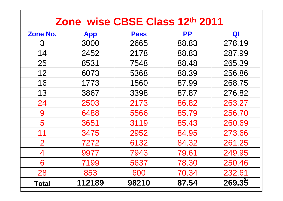|                 |            |             | Zone wise CBSE Class 12th 2011 |        |
|-----------------|------------|-------------|--------------------------------|--------|
| Zone No.        | <b>App</b> | <b>Pass</b> | <b>PP</b>                      | QI     |
| 3               | 3000       | 2665        | 88.83                          | 278.19 |
| 14              | 2452       | 2178        | 88.83                          | 287.99 |
| 25              | 8531       | 7548        | 88.48                          | 265.39 |
| 12 <sup>2</sup> | 6073       | 5368        | 88.39                          | 256.86 |
| 16              | 1773       | 1560        | 87.99                          | 268.75 |
| 13              | 3867       | 3398        | 87.87                          | 276.82 |
| 24              | 2503       | 2173        | 86.82                          | 263.27 |
| 9               | 6488       | 5566        | 85.79                          | 256.70 |
| 5               | 3651       | 3119        | 85.43                          | 260.69 |
| 11              | 3475       | 2952        | 84.95                          | 273.66 |
| $\overline{2}$  | 7272       | 6132        | 84.32                          | 261.25 |
| 4               | 9977       | 7943        | 79.61                          | 249.95 |
| 6               | 7199       | 5637        | 78.30                          | 250.46 |
| 28              | 853        | 600         | 70.34                          | 232.61 |
| <b>Total</b>    | 112189     | 98210       | 87.54                          | 269.35 |

Г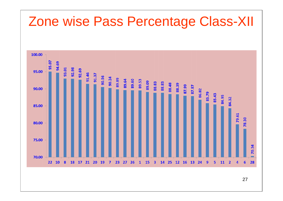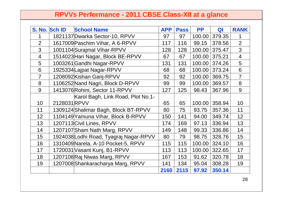#### **RPVVs Performance - 2011 CBSE Class-XII at a glance**

|                | S. No. Sch ID | <b>School Name</b>                     | <b>APP</b> | <b>Pass</b> | <b>PP</b> | QI     | <b>RANK</b>    |
|----------------|---------------|----------------------------------------|------------|-------------|-----------|--------|----------------|
|                |               | 1821137 Dwarka Sector-10, RPVV         | 97         | 97          | 100.00    | 379.35 | 1              |
| $\overline{2}$ |               | 1617009 Paschim Vihar, A 6-RPVV        | 117        | 116         | 99.15     | 378.56 | $\overline{2}$ |
| 3              |               | 1001104 Surajmal Vihar-RPVV            | 128        | 128         | 100.00    | 375.47 | $\overline{3}$ |
| $\overline{4}$ |               | 1514023 Hari Nagar, Block BE-RPVV      | 67         | 67          | 100.00    | 375.21 | $\overline{4}$ |
| 5              |               | 1003261 Gandhi Nagar-RPVV              | 131        | 131         | 100.00    | 374.26 | 5              |
| 6              |               | 1925334 Lajpat Nagar-RPVV              | 68         | 68          | 100.00    | 373.24 | 6              |
| $\overline{7}$ |               | 1208092 Kishan Ganj-RPVV               | 92         | 92          | 100.00    | 369.75 | $\overline{7}$ |
| 8              |               | 1106252 Nand Nagri, Block D-RPVV       | 99         | 99          | 100.00    | 369.57 | 8              |
| 9              |               | 1413076 Rohini, Sector 11-RPVV         | 127        | 125         | 98.43     | 367.96 | 9              |
|                |               | Karol Bagh, Link Road, Plot No.1-      |            |             |           |        |                |
| 10             | 2128031RPVV   |                                        | 65         | 65          | 100.00    | 358.94 | 10             |
| 11             |               | 1309124 Shalimar Bagh, Block BT-RPVV   | 80         | 75          | 93.75     | 357.36 | 11             |
| 12             |               | 1104149 Yamuna Vihar, Block B-RPVV     | 150        | 141         | 94.00     | 349.74 | 12             |
| 13             |               | 1207113 Civil Lines, RPVV              | 174        | 169         | 97.13     | 336.94 | 13             |
| 14             |               | 1207107 Sham Nath Marg, RPVV           | 149        | 148         | 99.33     | 336.86 | 14             |
| 15             |               | 1924038 Lodhi Road, Tyagraj Nagar-RPVV | 80         | 79          | 98.75     | 328.76 | 15             |
| 16             |               | 1310409 Narela, A-10 Pocket-5, RPVV    | 115        | 115         | 100.00    | 324.10 | 16             |
| 17             |               | 1720031 Vasant Kunj, B1-RPVV           | 113        | 113         | 100.00    | 322.65 | 17             |
| 18             |               | 1207108 Raj Niwas Marg, RPVV           | 167        | 153         | 91.62     | 320.78 | 18             |
| 19             |               | 1207008 Shankaracharya Marg, RPVV      | 141        | 134         | 95.04     | 308.28 | 19             |
|                |               |                                        | 2160       | 2115        | 97.92     | 350.14 |                |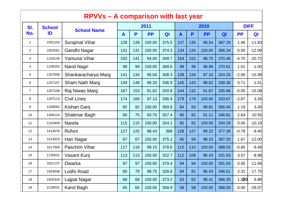|                | <b>RPVVs – A comparison with last year</b> |                       |     |     |           |       |              |     |           |        |             |          |
|----------------|--------------------------------------------|-----------------------|-----|-----|-----------|-------|--------------|-----|-----------|--------|-------------|----------|
| SI.            | <b>School</b>                              | <b>School Name</b>    |     |     | 2011      |       |              |     | 2010      |        | <b>DIFF</b> |          |
| No.            | ID                                         |                       | A   | P   | <b>PP</b> | QI    | $\mathbf{A}$ | P   | <b>PP</b> | QI     | <b>PP</b>   | QI       |
| $\mathbf{1}$   | 1001104                                    | <b>Surajmal Vihar</b> | 128 | 128 | 100.00    | 375.5 | 137          | 135 | 98.54     | 387.29 | 1.46        | $-11.83$ |
| $\overline{2}$ | 1003261                                    | Gandhi Nagar          | 131 | 131 | 100.00    | 374.3 | 134          | 134 | 100.00    | 386.34 | 0.00        | $-12.09$ |
| 3              | 1104149                                    | Yamuna Vihar          | 150 | 141 | 94.00     | 349.7 | 154          | 152 | 98.70     | 370.46 | $-4.70$     | $-20.72$ |
| 4              | 1106252                                    | Nand Nagri            | 99  | 99  | 100.00    | 369.6 | 99           | 98  | 98.99     | 370.61 | 1.01        | $-1.05$  |
| 5              | 1207008                                    | Shankaracharya Marg   | 141 | 134 | 95.04     | 308.3 | 138          | 134 | 97.10     | 324.25 | $-2.06$     | $-15.98$ |
| 6              | 1207107                                    | Sham Nath Marg        | 149 | 148 | 99.33     | 336.9 | 145          | 143 | 98.62     | 338.36 | 0.71        | $-1.51$  |
| $\overline{7}$ | 1207108                                    | Raj Niwas Marg        | 167 | 153 | 91.62     | 320.8 | 144          | 132 | 91.67     | 335.86 | $-0.05$     | $-15.08$ |
| 8              | 1207113                                    | <b>Civil Lines</b>    | 174 | 169 | 97.13     | 336.9 | 179          | 179 | 100.00    | 333.67 | $-2.87$     | 3.26     |
| 9              | 1208092                                    | Kishan Ganj           | 92  | 92  | 100.00    | 369.8 | 84           | 83  | 98.81     | 366.45 | 1.19        | 3.30     |
| 10             | 1309124                                    | <b>Shalimar Bagh</b>  | 80  | 75  | 93.75     | 357.4 | 90           | 82  | 91.11     | 346.81 | 2.64        | 10.55    |
| 11             | 1310409                                    | <b>Narela</b>         | 115 | 115 | 100.00    | 324.1 | 82           | 82  | 100.00    | 334.29 | 0.00        | $-10.19$ |
| 12             | 1413076                                    | Rohini                | 127 | 125 | 98.43     | 368   | 128          | 127 | 99.22     | 377.36 | $-0.79$     | $-9.40$  |
| 13             | 1514023                                    | Hari Nagar            | 67  | 67  | 100.00    | 375.2 | 60           | 59  | 98.33     | 387.20 | 1.67        | $-12.00$ |
| 14             | 1617009                                    | Paschim Vihar         | 117 | 116 | 99.15     | 378.6 | 110          | 110 | 100.00    | 388.03 | $-0.85$     | $-9.48$  |
| 15             | 1720031                                    | Vasant Kunj           | 113 | 113 | 100.00    | 322.7 | 112          | 108 | 96.43     | 331.63 | 3.57        | $-8.98$  |
| 16             | 1821137                                    | Dwarka                | 97  | 97  | 100.00    | 379.4 | 94           | 94  | 100.00    | 391.04 | 0.00        | $-11.69$ |
| 17             | 1924038                                    | Lodhi Road            | 80  | 79  | 98.75     | 328.8 | 84           | 81  | 96.43     | 346.51 | 2.32        | $-17.75$ |
| 18             | 1925334                                    | Lajpat Nagar          | 68  | 68  | 100.00    | 373.2 | 63           | 62  | 98.41     | 366.35 | 1.529       | 6.88     |
| 19             | 2128031                                    | Karol Bagh            | 65  | 65  | 100.00    | 358.9 | 58           | 58  | 100.00    | 388.00 | 0.00        | $-29.07$ |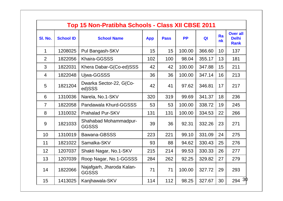|                | Top 15 Non-Pratibha Schools - Class XII CBSE 2011 |                                           |            |             |           |                |                  |                                                |  |  |  |  |
|----------------|---------------------------------------------------|-------------------------------------------|------------|-------------|-----------|----------------|------------------|------------------------------------------------|--|--|--|--|
| SI. No.        | <b>School ID</b>                                  | <b>School Name</b>                        | <b>App</b> | <b>Pass</b> | <b>PP</b> | Q <sub>l</sub> | Ra<br>n <b>k</b> | <b>Over all</b><br><b>Delhi</b><br><b>Rank</b> |  |  |  |  |
| 1              | 1208025                                           | Pul Bangash-SKV                           | 15         | 15          | 100.00    | 366.60         | 10               | 137                                            |  |  |  |  |
| $\overline{2}$ | 1822056                                           | <b>Khaira-GGSSS</b>                       | 102        | 100         | 98.04     | 355.17         | 13               | 181                                            |  |  |  |  |
| 3              | 1822031                                           | Khera Dabar-G(Co-ed)SSS                   | 42         | 42          | 100.00    | 347.88         | 15               | 211                                            |  |  |  |  |
| 4              | 1822048                                           | Ujwa-GGSSS                                | 36         | 36          | 100.00    | 347.14         | 16               | 213                                            |  |  |  |  |
| 5              | 1821204                                           | Dwarka Sector-22, G(Co-<br>ed)SSS         | 42         | 41          | 97.62     | 346.81         | 17               | 217                                            |  |  |  |  |
| 6              | 1310036                                           | Narela, No.1-SKV                          | 320        | 319         | 99.69     | 341.37         | 18               | 236                                            |  |  |  |  |
| $\overline{7}$ | 1822058                                           | Pandawala Khurd-GGSSS                     | 53         | 53          | 100.00    | 338.72         | 19               | 245                                            |  |  |  |  |
| 8              | 1310032                                           | <b>Prahalad Pur-SKV</b>                   | 131        | 131         | 100.00    | 334.53         | 22               | 266                                            |  |  |  |  |
| 9              | 1821033                                           | Shahabad Mohammadpur-<br><b>GGSSS</b>     | 39         | 36          | 92.31     | 332.26         | 23               | 271                                            |  |  |  |  |
| 10             | 1310019                                           | Bawana-GBSSS                              | 223        | 221         | 99.10     | 331.09         | 24               | 275                                            |  |  |  |  |
| 11             | 1821022                                           | Samalka-SKV                               | 93         | 88          | 94.62     | 330.43         | 25               | 276                                            |  |  |  |  |
| 12             | 1207037                                           | Shakti Nagar, No.1-SKV                    | 215        | 214         | 99.53     | 330.33         | 26               | 277                                            |  |  |  |  |
| 13             | 1207039                                           | Roop Nagar, No.1-GGSSS                    | 284        | 262         | 92.25     | 329.82         | 27               | 279                                            |  |  |  |  |
| 14             | 1822066                                           | Najafgarh, Jharoda Kalan-<br><b>GGSSS</b> | 71         | 71          | 100.00    | 327.72         | 29               | 293                                            |  |  |  |  |
| 15             | 1413025                                           | Kanjhawala-SKV                            | 114        | 112         | 98.25     | 327.67         | 30               | $294 \frac{30}{9}$                             |  |  |  |  |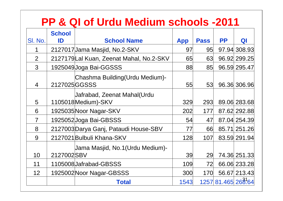#### **PP & QI of Urdu Medium schools -2011**

|                | <b>School</b> |                                                      |            |             |           |               |
|----------------|---------------|------------------------------------------------------|------------|-------------|-----------|---------------|
| SI. No.        | ID            | <b>School Name</b>                                   | <b>App</b> | <b>Pass</b> | <b>PP</b> | QI            |
|                |               | 2127017 Jama Masjid, No.2-SKV                        | 97         | 95          |           | 97.94 308.93  |
| 2              |               | 2127179 Lal Kuan, Zeenat Mahal, No.2-SKV             | 65         | 63          |           | 96.92 299.25  |
| 3              |               | 1925049 Joga Bai-GGSSS                               | 88         | 85          |           | 96.59 295.47  |
| $\overline{4}$ | 2127025 GGSSS | Chashma Building(Urdu Medium)-                       | 55         | 53          |           | 96.36 306.96  |
| 5              |               | Jafrabad, Zeenat Mahal(Urdu<br>1105018 Medium )- SKV | 329        | 293         |           | 89.06 283.68  |
| 6              |               | 1925035 Noor Nagar-SKV                               | 202        | 177         |           | 87.62 292.88  |
| $\overline{7}$ |               | 1925052 Joga Bai-GBSSS                               | 54         | 47          |           | 87.04 254.39  |
| 8              |               | 2127003 Darya Ganj, Pataudi House-SBV                | 77         | 66          |           | 85.71 251.26  |
| 9              |               | 2127021 Bulbuli Khana-SKV                            | 128        | 107         |           | 83.59 291.94  |
|                |               | Jama Masjid, No.1(Urdu Medium)-                      |            |             |           |               |
| 10             | 2127002SBV    |                                                      | 39         | 29          |           | 74.36 251.33  |
| 11             |               | 1105008 Jafrabad-GBSSS                               | 109        | 72          |           | 66.06 233.28  |
| 12             |               | 1925002 Noor Nagar-GBSSS                             | 300        | 170         |           | 56.67 213.43  |
|                |               | <b>Total</b>                                         | 1543       | 1257        |           | 81.465 268.64 |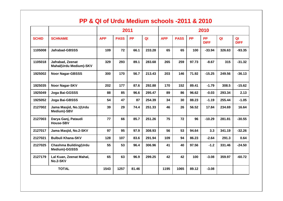#### **PP & QI of Urdu Medium schools -2011 & 2010**

|              |                                                   |            |             | 2011      |        | 2010       |             |           |                          |                |                   |
|--------------|---------------------------------------------------|------------|-------------|-----------|--------|------------|-------------|-----------|--------------------------|----------------|-------------------|
| <b>SCHID</b> | <b>SCHNAME</b>                                    | <b>APP</b> | <b>PASS</b> | <b>PP</b> | QI     | <b>APP</b> | <b>PASS</b> | <b>PP</b> | <b>PP</b><br><b>DIFF</b> | Q <sub>l</sub> | QI<br><b>DIFF</b> |
| 1105008      | <b>Jafrabad-GBSSS</b>                             | 109        | 72          | 66.1      | 233.28 | 65         | 65          | 100       | $-33.94$                 | 326.63         | $-93.35$          |
| 1105018      | Jafrabad, Zeenat<br><b>Mahal(Urdu Medium)-SKV</b> | 329        | 293         | 89.1      | 283.68 | 265        | 259         | 97.73     | $-8.67$                  | 315            | $-31.32$          |
| 1925002      | <b>Noor Nagar-GBSSS</b>                           | 300        | 170         | 56.7      | 213.43 | 203        | 146         | 71.92     | $-15.25$                 | 249.56         | $-36.13$          |
| 1925035      | <b>Noor Nagar-SKV</b>                             | 202        | 177         | 87.6      | 292.88 | 170        | 152         | 89.41     | $-1.79$                  | 308.5          | $-15.62$          |
| 1925049      | Joga Bai-GGSSS                                    | 88         | 85          | 96.6      | 295.47 | 89         | 86          | 96.62     | $-0.03$                  | 293.34         | 2.13              |
| 1925052      | Joga Bai-GBSSS                                    | 54         | 47          | 87        | 254.39 | 34         | 30          | 88.23     | $-1.19$                  | 255.44         | $-1.05$           |
| 2127002      | Jama Masjid, No.1(Urdu<br>Medium)-SBV             | 39         | 29          | 74.4      | 251.33 | 46         | 26          | 56.52     | 17.84                    | 234.69         | 16.64             |
| 2127003      | Darya Ganj, Pataudi<br><b>House-SBV</b>           | 77         | 66          | 85.7      | 251.26 | 75         | 72          | 96        | $-10.29$                 | 281.81         | $-30.55$          |
| 2127017      | Jama Masjid, No.2-SKV                             | 97         | 95          | 97.9      | 308.93 | 56         | 53          | 94.64     | 3.3                      | 341.19         | $-32.26$          |
| 2127021      | <b>Bulbuli Khana-SKV</b>                          | 128        | 107         | 83.6      | 291.94 | 109        | 94          | 86.23     | $-2.64$                  | 291.3          | 0.64              |
| 2127025      | <b>Chashma Building(Urdu</b><br>Medium)-GGSSS     | 55         | 53          | 96.4      | 306.96 | 41         | 40          | 97.56     | $-1.2$                   | 331.46         | $-24.50$          |
| 2127179      | Lal Kuan, Zeenat Mahal,<br>No.2-SKV               | 65         | 63          | 96.9      | 299.25 | 42         | 42          | 100       | $-3.08$                  | 359.97         | $-60.72$          |
|              | <b>TOTAL</b>                                      | 1543       | 1257        | 81.46     |        | 1195       | 1065        | 89.12     | $-3.08$                  |                |                   |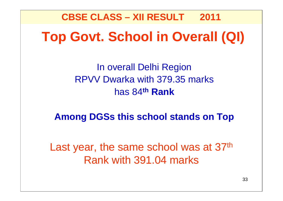**Top Govt. School in Overall (QI) CBSE CLASS – XII RESULT 2011**

> In overall Delhi Region RPVV Dwarka with 379.35 marks has 84**th Rank**

**Among DGSs this school stands on Top**

Last year, the same school was at 37<sup>th</sup> Rank with 391.04 marks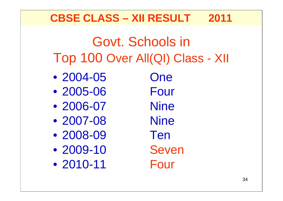### **CBSE CLASS – XII RESULT 2011**

## Govt. Schools in Top 100 Over All(QI) Class - XII

- 2004-05 One
- 2005-06 Four
- 2006-07 Nine
- 2007-08 Nine
- 2008-09 Ten
- 2009-10 Seven
- 2010-11 Four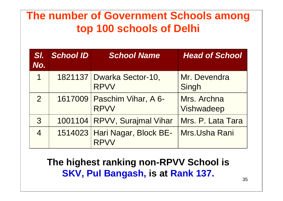### **The number of Government Schools among top 100 schools of Delhi**

| SI.<br>No.     | <b>School ID</b> | <b>School Name</b>                           | <b>Head of School</b>     |
|----------------|------------------|----------------------------------------------|---------------------------|
| 1              |                  | 1821137 Dwarka Sector-10,<br><b>RPVV</b>     | Mr. Devendra<br>Singh     |
| $\overline{2}$ |                  | 1617009   Paschim Vihar, A 6-<br><b>RPVV</b> | Mrs. Archna<br>Vishwadeep |
| 3              |                  | 1001104 RPVV, Surajmal Vihar                 | Mrs. P. Lata Tara         |
| $\overline{4}$ |                  | 1514023 Hari Nagar, Block BE-                | Mrs.Usha Rani             |

**The highest ranking non-RPVV School is SKV, Pul Bangash, is at Rank 137.**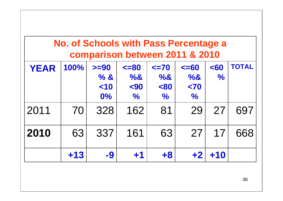|             | <b>No. of Schools with Pass Percentage a</b><br>comparison between 2011 & 2010 |         |               |               |               |               |              |  |  |  |  |
|-------------|--------------------------------------------------------------------------------|---------|---------------|---------------|---------------|---------------|--------------|--|--|--|--|
| <b>YEAR</b> | 100%                                                                           | $>= 90$ | $\leq$ = 80   | $\leq$ 70     | $\leq$ =60    | $60$          | <b>TOTAL</b> |  |  |  |  |
|             |                                                                                | % 8.    | %8            | $\%8$         | %&            | $\frac{1}{2}$ |              |  |  |  |  |
|             |                                                                                | $<$ 10  | $90$          | $80$          | $70$          |               |              |  |  |  |  |
|             |                                                                                | $0\%$   | $\frac{1}{2}$ | $\frac{1}{2}$ | $\frac{0}{0}$ |               |              |  |  |  |  |
| 2011        | 70                                                                             | 328     | 162           | 81            | 29            | 27            | 697          |  |  |  |  |
| 2010        | 63                                                                             | 337     | 161           | 63            | 27            | 17            | 668          |  |  |  |  |
|             | $+13$                                                                          | -9      | $+1$          | $+8$          | $+2$          | $+10$         |              |  |  |  |  |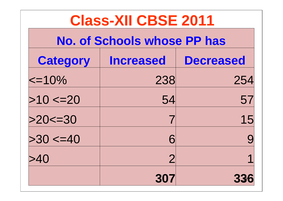| <b>Class-XII CBSE 2011</b>                              |                |     |  |  |  |  |  |  |
|---------------------------------------------------------|----------------|-----|--|--|--|--|--|--|
| <b>No. of Schools whose PP has</b>                      |                |     |  |  |  |  |  |  |
| <b>Decreased</b><br><b>Category</b><br><b>Increased</b> |                |     |  |  |  |  |  |  |
| $\le$ =10%                                              | 238            | 254 |  |  |  |  |  |  |
| >10 < 20                                                | 54             | 57  |  |  |  |  |  |  |
| $>20 \le -30$                                           |                | 15  |  |  |  |  |  |  |
| >30 < 40                                                | 6              | 9   |  |  |  |  |  |  |
| >40                                                     | $\overline{2}$ | 1   |  |  |  |  |  |  |
|                                                         | 307            |     |  |  |  |  |  |  |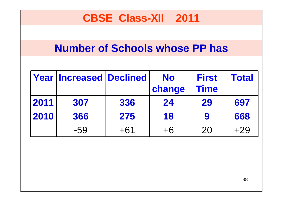### **CBSE Class-XII 2011**

#### **Number of Schools whose PP has**

|      | <b>Year Increased Declined</b> |       | <b>No</b> | <b>First</b> | <b>Total</b> |
|------|--------------------------------|-------|-----------|--------------|--------------|
|      |                                |       | change    | <b>Time</b>  |              |
| 2011 | 307                            | 336   | 24        | 29           | 697          |
| 2010 | 366                            | 275   | 18        | 9            | 668          |
|      | -59                            | $+61$ | $+6$      | 20           | $+29$        |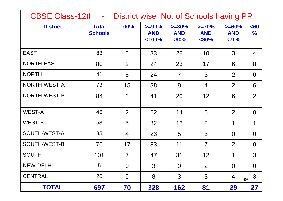| CBSE Class-12th -<br>District wise No. of Schools having PP |                                |                |                                   |                                  |                                   |                                 |                       |  |  |  |
|-------------------------------------------------------------|--------------------------------|----------------|-----------------------------------|----------------------------------|-----------------------------------|---------------------------------|-----------------------|--|--|--|
| <b>District</b>                                             | <b>Total</b><br><b>Schools</b> | 100%           | $>= 90\%$<br><b>AND</b><br>< 100% | $>= 80\%$<br><b>AND</b><br>$90%$ | $>=70%$<br><b>AND</b><br>$< 80\%$ | $>= 60\%$<br><b>AND</b><br><70% | $60$<br>$\frac{1}{2}$ |  |  |  |
| <b>EAST</b>                                                 | 83                             | 5              | 33                                | 28                               | 10                                | 3                               | $\overline{4}$        |  |  |  |
| NORTH-EAST                                                  | 80                             | 2              | 24                                | 23                               | 17                                | 6                               | 8                     |  |  |  |
| <b>NORTH</b>                                                | 41                             | 5              | 24                                | $\overline{7}$                   | 3                                 | $\overline{2}$                  | $\overline{0}$        |  |  |  |
| NORTH-WEST-A                                                | 73                             | 15             | 38                                | 8                                | $\overline{4}$                    | $\overline{2}$                  | 6                     |  |  |  |
| NORTH-WEST-B                                                | 84                             | 3              | 41                                | 20                               | 12                                | 6                               | $\overline{2}$        |  |  |  |
| <b>WEST-A</b>                                               | 46                             | 2              | 22                                | 14                               | 6                                 | $\overline{2}$                  | $\Omega$              |  |  |  |
| <b>WEST-B</b>                                               | 53                             | 5              | 32                                | 12 <sup>2</sup>                  | $\overline{2}$                    | 1                               | 1                     |  |  |  |
| SOUTH-WEST-A                                                | 35                             | $\overline{4}$ | 23                                | 5                                | 3                                 | $\Omega$                        | $\overline{0}$        |  |  |  |
| SOUTH-WEST-B                                                | 70                             | 17             | 33                                | 11                               | $\overline{7}$                    | 2                               | $\Omega$              |  |  |  |
| <b>SOUTH</b>                                                | 101                            | $\overline{7}$ | 47                                | 31                               | 12                                | 1                               | 3                     |  |  |  |
| <b>NEW-DELHI</b>                                            | 5                              | $\overline{0}$ | 3                                 | $\overline{0}$                   | $\overline{2}$                    | $\overline{0}$                  | $\overline{0}$        |  |  |  |
| <b>CENTRAL</b>                                              | 26                             | 5              | 8                                 | 3                                | 3                                 | $\overline{4}$<br>39            | 3                     |  |  |  |
| <b>TOTAL</b>                                                | 697                            | 70             | 328                               | 162                              | 81                                | 29                              | 27                    |  |  |  |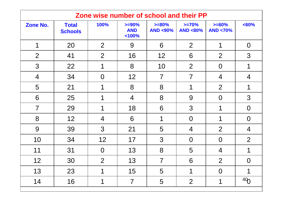|                 | Zone wise number of school and their PP |                |                                  |                                 |                               |                                |                 |  |  |  |  |
|-----------------|-----------------------------------------|----------------|----------------------------------|---------------------------------|-------------------------------|--------------------------------|-----------------|--|--|--|--|
| <b>Zone No.</b> | <b>Total</b><br><b>Schools</b>          | 100%           | $>= 90%$<br><b>AND</b><br>< 100% | $>= 80\%$<br><b>AND &lt;90%</b> | $>=70%$<br><b>AND &lt;80%</b> | $>= 60%$<br><b>AND &lt;70%</b> | <60%            |  |  |  |  |
| 1               | 20                                      | $\overline{2}$ | 9                                | 6                               | 2                             | 1                              | $\overline{0}$  |  |  |  |  |
| $\overline{2}$  | 41                                      | $\overline{2}$ | 16                               | 12                              | 6                             | 2                              | 3               |  |  |  |  |
| 3               | 22                                      | 1              | 8                                | 10                              | $\overline{2}$                | $\overline{0}$                 | 1               |  |  |  |  |
| $\overline{4}$  | 34                                      | $\overline{0}$ | 12                               | $\overline{7}$                  | $\overline{7}$                | 4                              | $\overline{4}$  |  |  |  |  |
| 5               | 21                                      | 1              | 8                                | 8                               | 1                             | $\overline{2}$                 | 1               |  |  |  |  |
| 6               | 25                                      |                | $\overline{4}$                   | 8                               | 9                             | $\overline{0}$                 | 3               |  |  |  |  |
| $\overline{7}$  | 29                                      | 1              | 18                               | 6                               | 3                             | 1                              | $\overline{O}$  |  |  |  |  |
| 8               | 12                                      | $\overline{4}$ | 6                                | 1                               | $\overline{0}$                | 1                              | $\overline{0}$  |  |  |  |  |
| 9               | 39                                      | 3              | 21                               | 5                               | 4                             | $\overline{2}$                 | $\overline{4}$  |  |  |  |  |
| 10              | 34                                      | 12             | 17                               | 3                               | $\overline{0}$                | $\overline{0}$                 | $\overline{2}$  |  |  |  |  |
| 11              | 31                                      | $\overline{O}$ | 13                               | 8                               | 5                             | 4                              |                 |  |  |  |  |
| 12              | 30                                      | $\overline{2}$ | 13                               | $\overline{7}$                  | 6                             | $\overline{2}$                 | $\overline{0}$  |  |  |  |  |
| 13              | 23                                      | 1              | 15                               | 5                               | 1                             | $\overline{0}$                 |                 |  |  |  |  |
| 14              | 16                                      | 1              | $\overline{7}$                   | 5                               | $\overline{2}$                | 1                              | 40 <sub>0</sub> |  |  |  |  |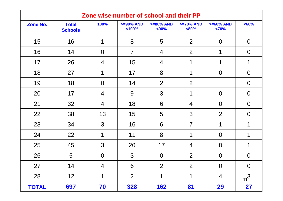|              | Zone wise number of school and their PP |                |                         |                        |                        |                        |                |  |  |  |
|--------------|-----------------------------------------|----------------|-------------------------|------------------------|------------------------|------------------------|----------------|--|--|--|
| Zone No.     | <b>Total</b><br><b>Schools</b>          | 100%           | $>= 90\%$ AND<br>< 100% | $>= 80\%$ AND<br>$90%$ | $>=70%$ AND<br>$&80\%$ | $>= 60\%$ AND<br>< 70% | < 60%          |  |  |  |
| 15           | 16                                      | 1              | 8                       | 5                      | 2                      | $\overline{0}$         | $\overline{0}$ |  |  |  |
| 16           | 14                                      | $\overline{0}$ | $\overline{7}$          | $\overline{4}$         | $\overline{2}$         | 1                      | $\overline{0}$ |  |  |  |
| 17           | 26                                      | $\overline{4}$ | 15                      | $\overline{4}$         | 1                      | 1                      | 1              |  |  |  |
| 18           | 27                                      | 1              | 17                      | 8                      | 1                      | $\overline{0}$         | $\overline{0}$ |  |  |  |
| 19           | 18                                      | $\overline{0}$ | 14                      | $\overline{2}$         | $\overline{2}$         |                        | $\overline{0}$ |  |  |  |
| 20           | 17                                      | $\overline{4}$ | 9                       | 3                      | 1                      | $\overline{0}$         | $\overline{0}$ |  |  |  |
| 21           | 32                                      | $\overline{4}$ | 18                      | 6                      | $\overline{4}$         | $\overline{0}$         | $\overline{0}$ |  |  |  |
| 22           | 38                                      | 13             | 15                      | 5                      | 3                      | $\overline{2}$         | $\overline{0}$ |  |  |  |
| 23           | 34                                      | 3              | 16                      | 6                      | $\overline{7}$         | 1                      | 1              |  |  |  |
| 24           | 22                                      | 1              | 11                      | 8                      | 1                      | $\overline{0}$         |                |  |  |  |
| 25           | 45                                      | 3              | 20                      | 17                     | $\overline{4}$         | $\overline{0}$         |                |  |  |  |
| 26           | 5                                       | $\overline{0}$ | 3                       | $\overline{0}$         | $\overline{2}$         | $\overline{0}$         | $\overline{0}$ |  |  |  |
| 27           | 14                                      | $\overline{4}$ | 6                       | $\overline{2}$         | $\overline{2}$         | $\overline{0}$         | $\overline{0}$ |  |  |  |
| 28           | 12                                      | 1              | $\overline{2}$          | 1                      | 1                      | 4                      | $41^{3}$       |  |  |  |
| <b>TOTAL</b> | 697                                     | 70             | 328                     | 162                    | 81                     | <b>29</b>              | 27             |  |  |  |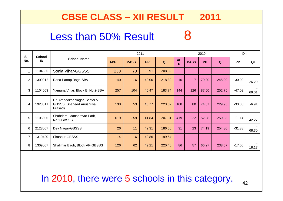#### **CBSE CLASS – XII RESULT 2011**

### Less than 50% Result 8

| SI.            | <b>School</b> |                                                                            |            | 2011        |           |                | 2010           |                |           |        | Diff      |         |
|----------------|---------------|----------------------------------------------------------------------------|------------|-------------|-----------|----------------|----------------|----------------|-----------|--------|-----------|---------|
| No.            | ID            | <b>School Name</b>                                                         | <b>APP</b> | <b>PASS</b> | <b>PP</b> | Q <sub>l</sub> | <b>AP</b><br>P | <b>PASS</b>    | <b>PP</b> | QI     | <b>PP</b> | QI      |
| 1              | 1104335       | Sonia Vihar-GGSSS                                                          | 230        | 78          | 33.91     | 208.82         |                |                |           |        |           |         |
| $\overline{2}$ | 1309012       | Rana Partap Bagh-SBV                                                       | 40         | 16          | 40.00     | 218.80         | 10             | $\overline{7}$ | 70.00     | 245.00 | $-30.00$  | 26.20   |
| 3              | 1104003       | Yamuna Vihar, Block B, No.2-SBV                                            | 257        | 104         | 40.47     | 183.74         | 144            | 126            | 87.50     | 252.75 | $-47.03$  | 69.01   |
| 4              | 1923011       | Dr. Ambedkar Nagar, Sector V-<br><b>GBSSS (Shaheed Anushuya</b><br>Prasad) | 130        | 53          | 40.77     | 223.02         | 108            | 80             | 74.07     | 229.93 | $-33.30$  | $-6.91$ |
| 5              | 1106006       | Shahdara, Mansarovar Park,<br>No.1-GBSSS                                   | 619        | 259         | 41.84     | 207.81         | 419            | 222            | 52.98     | 250.08 | $-11.14$  | 42.27   |
| 6              | 2128007       | Dev Nagar-GBSSS                                                            | 26         | 11          | 42.31     | 186.50         | 31             | 23             | 74.19     | 254.80 | $-31.88$  | 68.30   |
| $\overline{7}$ | 1310420       | Siraspur-GBSSS                                                             | 14         | 6           | 42.86     | 199.64         |                |                |           |        |           |         |
| 8              | 1309007       | Shalimar Bagh, Block AP-GBSSS                                              | 126        | 62          | 49.21     | 220.40         | 86             | 57             | 66.27     | 238.57 | $-17.06$  | 18.17   |

#### In 2010, there were 5 schools in this category.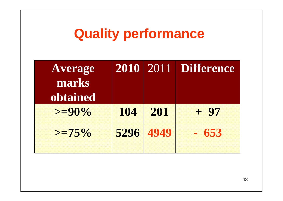## **Quality performance**

|      |     | <b>2010</b> 2011 Difference |
|------|-----|-----------------------------|
|      |     |                             |
|      |     |                             |
| 104  | 201 | + 97                        |
| 5296 |     | $-653$                      |
|      |     | 4949                        |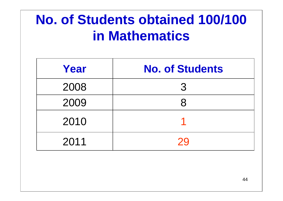## **No. of Students obtained 100/100 in Mathematics**

| Year | <b>No. of Students</b> |
|------|------------------------|
| 2008 | 3                      |
| 2009 | 8                      |
| 2010 |                        |
| 2011 | 29                     |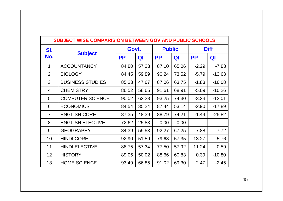| <b>SUBJECT WISE COMPARISION BETWEEN GOV AND PUBLIC SCHOOLS</b> |                         |           |       |           |               |           |             |  |  |
|----------------------------------------------------------------|-------------------------|-----------|-------|-----------|---------------|-----------|-------------|--|--|
| SI.                                                            |                         |           | Govt. |           | <b>Public</b> |           | <b>Diff</b> |  |  |
| No.                                                            | <b>Subject</b>          | <b>PP</b> | QI    | <b>PP</b> | QI            | <b>PP</b> | QI          |  |  |
| 1                                                              | <b>ACCOUNTANCY</b>      | 84.80     | 57.23 | 87.10     | 65.06         | $-2.29$   | $-7.83$     |  |  |
| 2                                                              | <b>BIOLOGY</b>          | 84.45     | 59.89 | 90.24     | 73.52         | $-5.79$   | $-13.63$    |  |  |
| 3                                                              | <b>BUSINESS STUDIES</b> | 85.23     | 47.67 | 87.06     | 63.75         | $-1.83$   | $-16.08$    |  |  |
| 4                                                              | <b>CHEMISTRY</b>        | 86.52     | 58.65 | 91.61     | 68.91         | $-5.09$   | $-10.26$    |  |  |
| 5                                                              | <b>COMPUTER SCIENCE</b> | 90.02     | 62.28 | 93.25     | 74.30         | $-3.23$   | $-12.01$    |  |  |
| 6                                                              | <b>ECONOMICS</b>        | 84.54     | 35.24 | 87.44     | 53.14         | $-2.90$   | $-17.89$    |  |  |
| $\overline{7}$                                                 | <b>ENGLISH CORE</b>     | 87.35     | 48.39 | 88.79     | 74.21         | $-1.44$   | $-25.82$    |  |  |
| 8                                                              | <b>ENGLISH ELECTIVE</b> | 72.62     | 25.83 | 0.00      | 0.00          |           |             |  |  |
| 9                                                              | <b>GEOGRAPHY</b>        | 84.39     | 59.53 | 92.27     | 67.25         | $-7.88$   | $-7.72$     |  |  |
| 10                                                             | <b>HINDI CORE</b>       | 92.90     | 51.59 | 79.63     | 57.35         | 13.27     | $-5.76$     |  |  |
| 11                                                             | <b>HINDI ELECTIVE</b>   | 88.75     | 57.34 | 77.50     | 57.92         | 11.24     | $-0.59$     |  |  |
| 12                                                             | <b>HISTORY</b>          | 89.05     | 50.02 | 88.66     | 60.83         | 0.39      | $-10.80$    |  |  |
| 13                                                             | <b>HOME SCIENCE</b>     | 93.49     | 66.85 | 91.02     | 69.30         | 2.47      | $-2.45$     |  |  |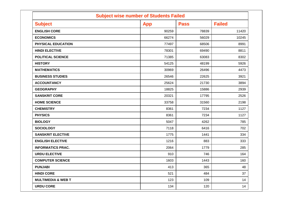| <b>Subject wise number of Students Failed</b> |            |             |               |  |  |  |  |  |
|-----------------------------------------------|------------|-------------|---------------|--|--|--|--|--|
| <b>Subject</b>                                | <b>App</b> | <b>Pass</b> | <b>Failed</b> |  |  |  |  |  |
| <b>ENGLISH CORE</b>                           | 90259      | 78839       | 11420         |  |  |  |  |  |
| <b>ECONOMICS</b>                              | 66274      | 56029       | 10245         |  |  |  |  |  |
| PHYSICAL EDUCATION                            | 77497      | 68506       | 8991          |  |  |  |  |  |
| <b>HINDI ELECTIVE</b>                         | 78301      | 69490       | 8811          |  |  |  |  |  |
| <b>POLITICAL SCIENCE</b>                      | 71385      | 63083       | 8302          |  |  |  |  |  |
| <b>HISTORY</b>                                | 54125      | 48199       | 5926          |  |  |  |  |  |
| <b>MATHEMATICS</b>                            | 30969      | 26496       | 4473          |  |  |  |  |  |
| <b>BUSINESS STUDIES</b>                       | 26546      | 22625       | 3921          |  |  |  |  |  |
| <b>ACCOUNTANCY</b>                            | 25624      | 21730       | 3894          |  |  |  |  |  |
| <b>GEOGRAPHY</b>                              | 18825      | 15886       | 2939          |  |  |  |  |  |
| <b>SANSKRIT CORE</b>                          | 20321      | 17795       | 2526          |  |  |  |  |  |
| <b>HOME SCIENCE</b>                           | 33758      | 31560       | 2198          |  |  |  |  |  |
| <b>CHEMISTRY</b>                              | 8361       | 7234        | 1127          |  |  |  |  |  |
| <b>PHYSICS</b>                                | 8361       | 7234        | 1127          |  |  |  |  |  |
| <b>BIOLOGY</b>                                | 5047       | 4262        | 785           |  |  |  |  |  |
| <b>SOCIOLOGY</b>                              | 7118       | 6416        | 702           |  |  |  |  |  |
| <b>SANSKRIT ELECTIVE</b>                      | 1775       | 1441        | 334           |  |  |  |  |  |
| <b>ENGLISH ELECTIVE</b>                       | 1216       | 883         | 333           |  |  |  |  |  |
| <b>INFORMATICS PRAC.</b>                      | 2064       | 1779        | 285           |  |  |  |  |  |
| <b>URDU ELECTIVE</b>                          | 910        | 746         | 164           |  |  |  |  |  |
| <b>COMPUTER SCIENCE</b>                       | 1603       | 1443        | 160           |  |  |  |  |  |
| <b>PUNJABI</b>                                | 413        | 365         | 48            |  |  |  |  |  |
| <b>HINDI CORE</b>                             | 521        | 484         | 37            |  |  |  |  |  |
| <b>MULTIMEDIA &amp; WEB T</b>                 | 123        | 109         | 14            |  |  |  |  |  |
| <b>URDU CORE</b>                              | 134        | 120         | 14            |  |  |  |  |  |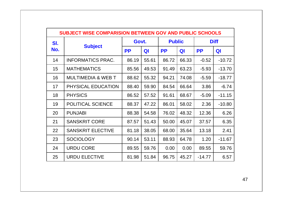| <b>SUBJECT WISE COMPARISION BETWEEN GOV AND PUBLIC SCHOOLS</b> |                               |           |       |           |               |           |             |  |  |
|----------------------------------------------------------------|-------------------------------|-----------|-------|-----------|---------------|-----------|-------------|--|--|
| SI.                                                            |                               |           | Govt. |           | <b>Public</b> |           | <b>Diff</b> |  |  |
| No.                                                            | <b>Subject</b>                | <b>PP</b> | QI    | <b>PP</b> | QI            | <b>PP</b> | QI          |  |  |
| 14                                                             | <b>INFORMATICS PRAC.</b>      | 86.19     | 55.61 | 86.72     | 66.33         | $-0.52$   | $-10.72$    |  |  |
| 15                                                             | <b>MATHEMATICS</b>            | 85.56     | 49.53 | 91.49     | 63.23         | $-5.93$   | $-13.70$    |  |  |
| 16                                                             | <b>MULTIMEDIA &amp; WEB T</b> | 88.62     | 55.32 | 94.21     | 74.08         | $-5.59$   | $-18.77$    |  |  |
| 17                                                             | PHYSICAL EDUCATION            | 88.40     | 59.90 | 84.54     | 66.64         | 3.86      | $-6.74$     |  |  |
| 18                                                             | <b>PHYSICS</b>                | 86.52     | 57.52 | 91.61     | 68.67         | $-5.09$   | $-11.15$    |  |  |
| 19                                                             | <b>POLITICAL SCIENCE</b>      | 88.37     | 47.22 | 86.01     | 58.02         | 2.36      | $-10.80$    |  |  |
| 20                                                             | <b>PUNJABI</b>                | 88.38     | 54.58 | 76.02     | 48.32         | 12.36     | 6.26        |  |  |
| 21                                                             | <b>SANSKRIT CORE</b>          | 87.57     | 51.43 | 50.00     | 45.07         | 37.57     | 6.35        |  |  |
| 22                                                             | <b>SANSKRIT ELECTIVE</b>      | 81.18     | 38.05 | 68.00     | 35.64         | 13.18     | 2.41        |  |  |
| 23                                                             | <b>SOCIOLOGY</b>              | 90.14     | 53.11 | 88.93     | 64.78         | 1.20      | $-11.67$    |  |  |
| 24                                                             | <b>URDU CORE</b>              | 89.55     | 59.76 | 0.00      | 0.00          | 89.55     | 59.76       |  |  |
| 25                                                             | <b>URDU ELECTIVE</b>          | 81.98     | 51.84 | 96.75     | 45.27         | $-14.77$  | 6.57        |  |  |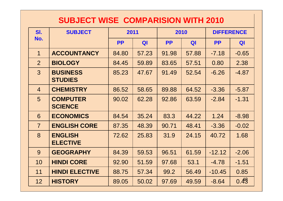#### **SUBJECT WISE COMPARISION WITH 2010**

| SI.            | <b>SUBJECT</b>                    |           | 2011  |           | 2010  | <b>DIFFERENCE</b> |         |
|----------------|-----------------------------------|-----------|-------|-----------|-------|-------------------|---------|
| No.            |                                   | <b>PP</b> | QI    | <b>PP</b> | QI    | <b>PP</b>         | QI      |
| $\mathbf 1$    | <b>ACCOUNTANCY</b>                | 84.80     | 57.23 | 91.98     | 57.88 | $-7.18$           | $-0.65$ |
| $\overline{2}$ | <b>BIOLOGY</b>                    | 84.45     | 59.89 | 83.65     | 57.51 | 0.80              | 2.38    |
| 3              | <b>BUSINESS</b><br><b>STUDIES</b> | 85.23     | 47.67 | 91.49     | 52.54 | $-6.26$           | $-4.87$ |
| $\overline{4}$ | <b>CHEMISTRY</b>                  | 86.52     | 58.65 | 89.88     | 64.52 | $-3.36$           | $-5.87$ |
| 5              | <b>COMPUTER</b><br><b>SCIENCE</b> | 90.02     | 62.28 | 92.86     | 63.59 | $-2.84$           | $-1.31$ |
| 6              | <b>ECONOMICS</b>                  | 84.54     | 35.24 | 83.3      | 44.22 | 1.24              | $-8.98$ |
| $\overline{7}$ | <b>ENGLISH CORE</b>               | 87.35     | 48.39 | 90.71     | 48.41 | $-3.36$           | $-0.02$ |
| 8              | <b>ENGLISH</b><br><b>ELECTIVE</b> | 72.62     | 25.83 | 31.9      | 24.15 | 40.72             | 1.68    |
| 9              | <b>GEOGRAPHY</b>                  | 84.39     | 59.53 | 96.51     | 61.59 | $-12.12$          | $-2.06$ |
| 10             | <b>HINDI CORE</b>                 | 92.90     | 51.59 | 97.68     | 53.1  | $-4.78$           | $-1.51$ |
| 11             | <b>HINDI ELECTIVE</b>             | 88.75     | 57.34 | 99.2      | 56.49 | $-10.45$          | 0.85    |
| 12             | <b>HISTORY</b>                    | 89.05     | 50.02 | 97.69     | 49.59 | $-8.64$           | 0.43    |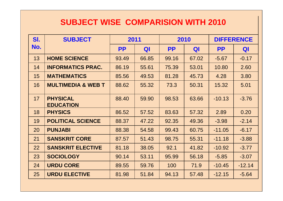#### **SUBJECT WISE COMPARISION WITH 2010**

| SI. | <b>SUBJECT</b>                      | 2011<br>2010 |       |           | <b>DIFFERENCE</b> |           |          |
|-----|-------------------------------------|--------------|-------|-----------|-------------------|-----------|----------|
| No. |                                     | <b>PP</b>    | QI    | <b>PP</b> | QI                | <b>PP</b> | QI       |
| 13  | <b>HOME SCIENCE</b>                 | 93.49        | 66.85 | 99.16     | 67.02             | $-5.67$   | $-0.17$  |
| 14  | <b>INFORMATICS PRAC.</b>            | 86.19        | 55.61 | 75.39     | 53.01             | 10.80     | 2.60     |
| 15  | <b>MATHEMATICS</b>                  | 85.56        | 49.53 | 81.28     | 45.73             | 4.28      | 3.80     |
| 16  | <b>MULTIMEDIA &amp; WEB T</b>       | 88.62        | 55.32 | 73.3      | 50.31             | 15.32     | 5.01     |
| 17  | <b>PHYSICAL</b><br><b>EDUCATION</b> | 88.40        | 59.90 | 98.53     | 63.66             | $-10.13$  | $-3.76$  |
| 18  | <b>PHYSICS</b>                      | 86.52        | 57.52 | 83.63     | 57.32             | 2.89      | 0.20     |
| 19  | <b>POLITICAL SCIENCE</b>            | 88.37        | 47.22 | 92.35     | 49.36             | $-3.98$   | $-2.14$  |
| 20  | <b>PUNJABI</b>                      | 88.38        | 54.58 | 99.43     | 60.75             | $-11.05$  | $-6.17$  |
| 21  | <b>SANSKRIT CORE</b>                | 87.57        | 51.43 | 98.75     | 55.31             | $-11.18$  | $-3.88$  |
| 22  | <b>SANSKRIT ELECTIVE</b>            | 81.18        | 38.05 | 92.1      | 41.82             | $-10.92$  | $-3.77$  |
| 23  | <b>SOCIOLOGY</b>                    | 90.14        | 53.11 | 95.99     | 56.18             | $-5.85$   | $-3.07$  |
| 24  | <b>URDU CORE</b>                    | 89.55        | 59.76 | 100       | 71.9              | $-10.45$  | $-12.14$ |
| 25  | <b>URDU ELECTIVE</b>                | 81.98        | 51.84 | 94.13     | 57.48             | $-12.15$  | $-5.64$  |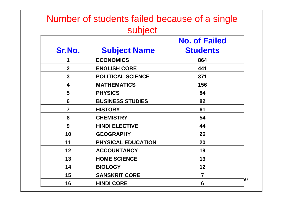#### Number of students failed because of a single subject

| Sr.No.                  | <b>Subject Name</b>       | <b>No. of Failed</b><br><b>Students</b> |
|-------------------------|---------------------------|-----------------------------------------|
| 1                       | <b>ECONOMICS</b>          | 864                                     |
| $\overline{2}$          | <b>ENGLISH CORE</b>       | 441                                     |
| $\overline{\mathbf{3}}$ | <b>POLITICAL SCIENCE</b>  | 371                                     |
| 4                       | <b>MATHEMATICS</b>        | 156                                     |
| 5                       | <b>PHYSICS</b>            | 84                                      |
| $6\phantom{1}$          | <b>BUSINESS STUDIES</b>   | 82                                      |
| $\overline{7}$          | <b>HISTORY</b>            | 61                                      |
| 8                       | <b>CHEMISTRY</b>          | 54                                      |
| 9                       | <b>HINDI ELECTIVE</b>     | 44                                      |
| 10                      | <b>GEOGRAPHY</b>          | 26                                      |
| 11                      | <b>PHYSICAL EDUCATION</b> | 20                                      |
| 12                      | ACCOUNTANCY               | 19                                      |
| 13                      | <b>HOME SCIENCE</b>       | 13                                      |
| 14                      | <b>BIOLOGY</b>            | 12                                      |
| 15                      | <b>SANSKRIT CORE</b>      | $\overline{\mathbf{7}}$                 |
| 16                      | <b>HINDI CORE</b>         | 50<br>6                                 |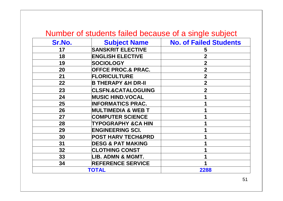#### Number of students failed because of a single subject

| Sr.No. | <b>Subject Name</b>           | <b>No. of Failed Students</b> |
|--------|-------------------------------|-------------------------------|
| 17     | <b>SANSKRIT ELECTIVE</b>      | 5                             |
| 18     | <b>ENGLISH ELECTIVE</b>       | $\overline{2}$                |
| 19     | <b>SOCIOLOGY</b>              | 2                             |
| 20     | <b>OFFCE PROC.&amp; PRAC.</b> | 2                             |
| 21     | <b>FLORICULTURE</b>           | $\overline{2}$                |
| 22     | <b>B THERAPY &amp;H DR-II</b> | $\mathbf 2$                   |
| 23     | <b>CLSFN.&amp;CATALOGUING</b> | $\overline{2}$                |
| 24     | <b>MUSIC HIND.VOCAL</b>       |                               |
| 25     | <b>INFORMATICS PRAC.</b>      |                               |
| 26     | <b>MULTIMEDIA &amp; WEB T</b> |                               |
| 27     | <b>COMPUTER SCIENCE</b>       |                               |
| 28     | TYPOGRAPHY &CA HIN            |                               |
| 29     | <b>ENGINEERING SCI.</b>       |                               |
| 30     | <b>POST HARV TECH&amp;PRD</b> |                               |
| 31     | <b>DESG &amp; PAT MAKING</b>  |                               |
| 32     | <b>CLOTHING CONST</b>         |                               |
| 33     | LIB. ADMN & MGMT.             |                               |
| 34     | <b>REFERENCE SERVICE</b>      |                               |
|        | <b>TOTAL</b>                  | 2288                          |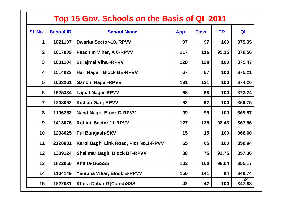|                 | Top 15 Gov. Schools on the Basis of QI 2011    |                                       |            |             |           |              |  |  |  |  |  |  |
|-----------------|------------------------------------------------|---------------------------------------|------------|-------------|-----------|--------------|--|--|--|--|--|--|
| SI. No.         | <b>School ID</b>                               | <b>School Name</b>                    | <b>App</b> | <b>Pass</b> | <b>PP</b> | QI           |  |  |  |  |  |  |
| 1               | 1821137                                        | <b>Dwarka Sector-10, RPVV</b>         | 97         | 97          | 100       | 379.35       |  |  |  |  |  |  |
| 2 <sup>1</sup>  | 1617009                                        | Paschim Vihar, A 6-RPVV               | 117        | 116         | 99.15     | 378.56       |  |  |  |  |  |  |
| $\mathbf{3}$    | 1001104                                        | <b>Surajmal Vihar-RPVV</b>            | 128        | 128         | 100       | 375.47       |  |  |  |  |  |  |
| 4               | 1514023                                        | 67                                    | 67         | 100         | 375.21    |              |  |  |  |  |  |  |
| $5\overline{)}$ | 1003261<br><b>Gandhi Nagar-RPVV</b>            |                                       | 131        | 131         | 100       | 374.26       |  |  |  |  |  |  |
| 6               | 1925334                                        | <b>Lajpat Nagar-RPVV</b>              | 68         | 68          | 100       | 373.24       |  |  |  |  |  |  |
| $\overline{7}$  | 1208092                                        | <b>Kishan Ganj-RPVV</b>               | 92         | 92          | 100       | 369.75       |  |  |  |  |  |  |
| 8               | 1106252                                        | <b>Nand Nagri, Block D-RPVV</b>       | 99         | 99          | 100       | 369.57       |  |  |  |  |  |  |
| 9               | 1413076                                        | <b>Rohini, Sector 11-RPVV</b>         | 127        | 125         | 98.43     | 367.96       |  |  |  |  |  |  |
| 10              | 1208025                                        | <b>Pul Bangash-SKV</b>                | 15         | 15          | 100       | 366.60       |  |  |  |  |  |  |
| 11              | 2128031                                        | Karol Bagh, Link Road, Plot No.1-RPVV | 65         | 65          | 100       | 358.94       |  |  |  |  |  |  |
| 12              | 1309124<br><b>Shalimar Bagh, Block BT-RPVV</b> |                                       | 80         | 75          | 93.75     | 357.36       |  |  |  |  |  |  |
| 13              | 1822056                                        | <b>Khaira-GGSSS</b>                   | 102        | 100         | 98.04     | 355.17       |  |  |  |  |  |  |
| 14              | 1104149                                        | Yamuna Vihar, Block B-RPVV            |            | 141         | 94        | 349.74       |  |  |  |  |  |  |
| 15              | 1822031                                        | Khera Dabar-G(Co-ed)SSS               | 42         | 42          | 100       | 52<br>347.88 |  |  |  |  |  |  |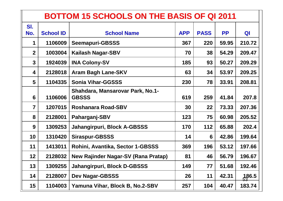|                | <b>BOTTOM 15 SCHOOLS ON THE BASIS OF QI 2011</b> |                                                  |            |             |           |        |  |  |  |  |  |  |
|----------------|--------------------------------------------------|--------------------------------------------------|------------|-------------|-----------|--------|--|--|--|--|--|--|
| SI.            |                                                  |                                                  |            |             |           |        |  |  |  |  |  |  |
| No.            | <b>School ID</b>                                 | <b>School Name</b>                               | <b>APP</b> | <b>PASS</b> | <b>PP</b> | QI     |  |  |  |  |  |  |
| 1              | 1106009                                          | <b>Seemapuri-GBSSS</b>                           | 367        | 220         | 59.95     | 210.72 |  |  |  |  |  |  |
| $\overline{2}$ | 1003004                                          | <b>Kailash Nagar-SBV</b>                         | 70         | 38          | 54.29     | 209.47 |  |  |  |  |  |  |
| $\mathbf{3}$   | 1924039                                          | <b>INA Colony-SV</b>                             | 185        | 93          | 50.27     | 209.29 |  |  |  |  |  |  |
| 4              | 2128018                                          | <b>Aram Bagh Lane-SKV</b>                        | 63         | 34          | 53.97     | 209.25 |  |  |  |  |  |  |
| 5              | 1104335                                          | <b>Sonia Vihar-GGSSS</b>                         | 230        | 78          | 33.91     | 208.81 |  |  |  |  |  |  |
| 6              | 1106006                                          | Shahdara, Mansarovar Park, No.1-<br><b>GBSSS</b> | 619        | 259         | 41.84     | 207.8  |  |  |  |  |  |  |
| $\overline{7}$ | 1207015                                          | <b>Roshanara Road-SBV</b>                        | 30         | 22          | 73.33     | 207.36 |  |  |  |  |  |  |
| 8              | 2128001                                          | Paharganj-SBV                                    | 123        | 75          | 60.98     | 205.52 |  |  |  |  |  |  |
| 9              | 1309253                                          | Jahangirpuri, Block A-GBSSS                      | 170        | 112         | 65.88     | 202.4  |  |  |  |  |  |  |
| 10             | 1310420                                          | <b>Siraspur-GBSSS</b>                            | 14         | 6           | 42.86     | 199.64 |  |  |  |  |  |  |
| 11             | 1413011                                          | Rohini, Avantika, Sector 1-GBSSS                 | 369        | 196         | 53.12     | 197.66 |  |  |  |  |  |  |
| 12             | 2128032                                          | New Rajinder Nagar-SV (Rana Pratap)              | 81         | 46          | 56.79     | 196.67 |  |  |  |  |  |  |
| 13             | 1309255                                          | Jahangirpuri, Block D-GBSSS                      | 149        | 77          | 51.68     | 192.46 |  |  |  |  |  |  |
| 14             | 2128007                                          | <b>Dev Nagar-GBSSS</b>                           | 26         | 11          | 42.31     | 186.5  |  |  |  |  |  |  |
| 15             | 1104003                                          | Yamuna Vihar, Block B, No.2-SBV                  | 257        | 104         | 40.47     | 183.74 |  |  |  |  |  |  |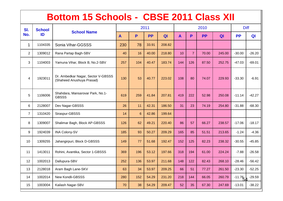#### **Bottom 15 Schools - CBSE 2011 Class XII**

| SI.            | <b>School</b> |                                                                 |              |                | 2011      |        | 2010         |                |           |        | <b>Diff</b> |          |
|----------------|---------------|-----------------------------------------------------------------|--------------|----------------|-----------|--------|--------------|----------------|-----------|--------|-------------|----------|
| No.            | ID            | <b>School Name</b>                                              | $\mathbf{A}$ | P              | <b>PP</b> | QI     | $\mathbf{A}$ | P              | <b>PP</b> | QI     | <b>PP</b>   | QI       |
| 1              | 1104335       | Sonia Vihar-GGSSS                                               | 230          | 78             | 33.91     | 208.82 |              |                |           |        |             |          |
| $\overline{2}$ | 1309012       | Rana Partap Bagh-SBV                                            | 40           | 16             | 40.00     | 218.80 | 10           | $\overline{7}$ | 70.00     | 245.00 | $-30.00$    | $-26.20$ |
| 3              | 1104003       | Yamuna Vihar, Block B, No.2-SBV                                 | 257          | 104            | 40.47     | 183.74 | 144          | 126            | 87.50     | 252.75 | $-47.03$    | $-69.01$ |
| $\overline{4}$ | 1923011       | Dr. Ambedkar Nagar, Sector V-GBSSS<br>(Shaheed Anushuya Prasad) | 130          | 53             | 40.77     | 223.02 | 108          | 80             | 74.07     | 229.93 | $-33.30$    | $-6.91$  |
| 5              | 1106006       | Shahdara, Mansarovar Park, No.1-<br><b>GBSSS</b>                | 619          | 259            | 41.84     | 207.81 | 419          | 222            | 52.98     | 250.08 | $-11.14$    | $-42.27$ |
| 6              | 2128007       | Dev Nagar-GBSSS                                                 | 26           | 11             | 42.31     | 186.50 | 31           | 23             | 74.19     | 254.80 | $-31.88$    | $-68.30$ |
| $\overline{7}$ | 1310420       | Siraspur-GBSSS                                                  | 14           | $6\phantom{1}$ | 42.86     | 199.64 |              |                |           |        |             |          |
| 8              | 1309007       | Shalimar Bagh, Block AP-GBSSS                                   | 126          | 62             | 49.21     | 220.40 | 86           | 57             | 66.27     | 238.57 | $-17.06$    | $-18.17$ |
| 9              | 1924039       | <b>INA Colony-SV</b>                                            | 185          | 93             | 50.27     | 209.29 | 165          | 85             | 51.51     | 213.65 | $-1.24$     | $-4.36$  |
| 10             | 1309255       | Jahangirpuri, Block D-GBSSS                                     | 149          | 77             | 51.68     | 192.47 | 152          | 125            | 82.23     | 238.32 | $-30.55$    | $-45.85$ |
| 11             | 1413011       | Rohini, Avantika, Sector 1-GBSSS                                | 369          | 196            | 53.12     | 197.66 | 318          | 194            | 61.00     | 224.24 | $-7.88$     | $-26.58$ |
| 12             | 1002013       | Dallupura-SBV                                                   | 252          | 136            | 53.97     | 211.68 | 148          | 122            | 82.43     | 268.10 | $-28.46$    | $-56.42$ |
| 13             | 2128018       | Aram Bagh Lane-SKV                                              | 63           | 34             | 53.97     | 209.25 | 66           | 51             | 77.27     | 261.50 | $-23.30$    | $-52.25$ |
| 14             | 1002014       | New Kondli-GBSSS                                                | 280          | 152            | 54.29     | 231.20 | 218          | 144            | 66.05     | 260.79 | $-11.76$    | $-29.59$ |
| 15             | 1003004       | Kailash Nagar-SBV                                               | 70           | 38             | 54.29     | 209.47 | 52           | 35             | 67.30     | 247.69 | $-13.01$    | $-38.22$ |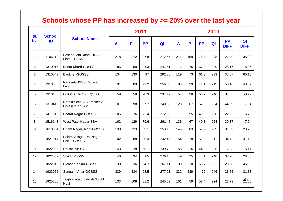#### **Schools whose PP has increased by >= 20% over the last year**

| SI.            | <b>School</b> | <b>School Name</b>                             |              | 2011 |           |                |              |     | 2010      |                |                          |                               |  |  |
|----------------|---------------|------------------------------------------------|--------------|------|-----------|----------------|--------------|-----|-----------|----------------|--------------------------|-------------------------------|--|--|
| No.            | ID            |                                                | $\mathbf{A}$ | P    | <b>PP</b> | Q <sub>l</sub> | $\mathbf{A}$ | P   | <b>PP</b> | Q <sub>l</sub> | <b>PP</b><br><b>DIFF</b> | Q <sub>l</sub><br><b>DIFF</b> |  |  |
| $\mathbf{1}$   | 1106118       | East of Loni Road, DDA<br>Flats-GBSSS          | 278          | 272  | 97.8      | 272.65         | 211          | 159 | 75.4      | 238            | 22.49                    | 35.03                         |  |  |
| $\overline{2}$ | 1310015       | Khera Khurd-GBSSS                              | 86           | 80   | 93        | 247.51         | 112          | 76  | 67.9      | 229            | 25.17                    | 18.86                         |  |  |
| 3              | 1310049       | Bankner-GGSSS                                  | 134          | 130  | 97        | 292.80         | 119          | 73  | 61.3      | 233            | 35.67                    | 60.15                         |  |  |
| 4              | 1310166       | Narela-GBSSS (Mussadi<br>Lal)                  |              | 83   | 91.2      | 256.56         | 95           | 39  | 41.1      | 213            | 50.16                    | 43.52                         |  |  |
| 5              | 1310400       | GHOGA G(CO-ED)SSS                              | 59           | 58   | 98.3      | 237.12         | 57           | 38  | 66.7      | 246            | 31.65                    | $-8.79$                       |  |  |
| 6              | 1310410       | Narela Sect. A-6, Pocket-2,<br>Govt.(Co-ed)SSS | 101          | 98   | 97        | 240.80         | 128          | 67  | 52.3      | 224            | 44.69                    | 17.04                         |  |  |
| $\overline{7}$ | 1411019       | <b>Bharat Nagar-GBSSS</b>                      | 105          | 76   | 72.4      | 212.30         | 111          | 55  | 49.6      | 206            | 22.83                    | 6.73                          |  |  |
| 8              | 1516143       | West Patel Nagar-SBV                           | 162          | 129  | 79.6      | 261.45         | 136          | 67  | 49.3      | 254            | 30.37                    | 7.24                          |  |  |
| 9              | 1618004       | Uttam Nagar, No.2-GBSSS                        | 138          | 123  | 89.1      | 253.15         | 145          | 83  | 57.2      | 229            | 31.89                    | 23.73                         |  |  |
| 10             | 1821014       | Palam Village, Raj Nagar,<br>Part 1-GBSSS      | 102          | 88   | 86.3      | 242.45         | 54           | 28  | 51.9      | 211            | 34.42                    | 31.10                         |  |  |
| 11             | 1822006       | Daulat Pur-SV                                  | 43           | 28   | 65.1      | 239.72         | 58           | 26  | 44.8      | 225            | 20.3                     | 15.14                         |  |  |
| 12             | 1822007       | Shikar Pur-SV                                  | 40           | 34   | 85        | 276.15         | 49           | 25  | 51        | 248            | 33.98                    | 28.58                         |  |  |
| 13             | 1822015       | Dichaon Kalan-GBSSS                            | 38           | 36   | 94.7      | 267.11         | 30           | 20  | 66.7      | 221            | 28.08                    | 45.98                         |  |  |
| 14             | 1923052       | Sangam Vihar-GGSSS                             | 339          | 334  | 98.5      | 277.21         | 332          | 239 | 72        | 246            | 26.55                    | 31.33                         |  |  |
| 15             | 1925250       | Tughlakabad Extn.-GGSSS<br>No.2                | 133          | 108  | 81.2      | 245.62         | 101          | 59  | 58.4      | 224            | 22.79                    | $55_{55}$                     |  |  |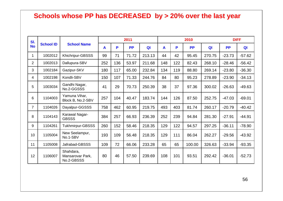#### **Schools whose PP has DECREASED by > 20% over the last year**

| SI.            |                  |                                             |              |     | 2011      |        |              |     | 2010      |                | <b>DIFF</b> |          |
|----------------|------------------|---------------------------------------------|--------------|-----|-----------|--------|--------------|-----|-----------|----------------|-------------|----------|
| <b>No</b>      | <b>School ID</b> | <b>School Name</b>                          | $\mathbf{A}$ | P   | <b>PP</b> | QI     | $\mathbf{A}$ | P   | <b>PP</b> | Q <sub>l</sub> | <b>PP</b>   | QI       |
| 1              | 1002012          | Khichripur-GBSSS                            | 99           | 71  | 71.72     | 213.13 | 44           | 42  | 95.45     | 270.75         | $-23.73$    | $-57.62$ |
| $\overline{2}$ | 1002013          | Dallupura-SBV                               | 252          | 136 | 53.97     | 211.68 | 148          | 122 | 82.43     | 268.10         | $-28.46$    | $-56.42$ |
| 3              | 1002184          | Gazipur-SKV                                 | 180          | 117 | 65.00     | 232.84 | 134          | 119 | 88.80     | 269.14         | $-23.80$    | $-36.30$ |
| 4              | 1002198          | Kondli-SBV                                  | 150          | 107 | 71.33     | 244.76 | 84           | 80  | 95.23     | 278.89         | $-23.90$    | $-34.13$ |
| 5              | 1003034          | Gandhi Nagar,<br>No.2-GGSSS                 | 41           | 29  | 70.73     | 250.39 | 38           | 37  | 97.36     | 300.02         | $-26.63$    | $-49.63$ |
| 6              | 1104003          | Yamuna Vihar,<br>Block B, No.2-SBV          | 257          | 104 | 40.47     | 183.74 | 144          | 126 | 87.50     | 252.75         | $-47.03$    | $-69.01$ |
| $\overline{7}$ | 1104026          | Dayalpur-GGSSS                              | 758          | 462 | 60.95     | 219.75 | 493          | 403 | 81.74     | 260.17         | $-20.79$    | $-40.42$ |
| 8              | 1104143          | Karawal Nagar-<br><b>GBSSS</b>              | 384          | 257 | 66.93     | 236.39 | 252          | 239 | 94.84     | 281.30         | $-27.91$    | $-44.91$ |
| 9              | 1104261          | <b>Tukhmirpur-GBSSS</b>                     | 260          | 152 | 58.46     | 218.35 | 129          | 122 | 94.57     | 297.25         | $-36.11$    | $-78.90$ |
| 10             | 1105004          | New Seelampur,<br>No.1-SBV                  | 193          | 109 | 56.48     | 218.35 | 129          | 111 | 86.04     | 262.27         | $-29.56$    | $-43.92$ |
| 11             | 1105008          | Jafrabad-GBSSS                              | 109          | 72  | 66.06     | 233.28 | 65           | 65  | 100.00    | 326.63         | $-33.94$    | $-93.35$ |
| 12             | 1106007          | Shahdara,<br>Mansarovar Park,<br>No.2-GBSSS | 80           | 46  | 57.50     | 239.69 | 108          | 101 | 93.51     | 292.42         | $-36.01$    | $-52.73$ |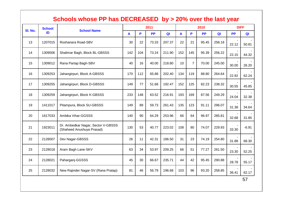|         |                                        | <b>Schools whose PP has DECREASED</b>                           |     |     | 2011      | by > 20% over the last year<br>2010 |     |                |           |        |           | <b>DIFF</b> |  |
|---------|----------------------------------------|-----------------------------------------------------------------|-----|-----|-----------|-------------------------------------|-----|----------------|-----------|--------|-----------|-------------|--|
| SI. No. | <b>School</b><br>ID                    | <b>School Name</b>                                              | A   | P   | <b>PP</b> | QI                                  | A   | P              | <b>PP</b> | QI     | <b>PP</b> | QI          |  |
| 13      | 1207015                                | Roshanara Road-SBV                                              | 30  | 22  | 73.33     | 207.37                              | 22  | 21             | 95.45     | 258.18 | 22.12     | 50.81       |  |
| 14      | 1309006                                | Shalimar Bagh, Block BL-GBSSS                                   | 142 | 104 | 73.24     | 211.90                              | 152 | 145            | 95.39     | 256.22 | 22.15     | 44.32       |  |
| 15      | 1309012                                | Rana Partap Bagh-SBV                                            | 40  | 16  | 40.00     | 218.80                              | 10  | $\overline{7}$ | 70.00     | 245.00 | 30.00     | 26.20       |  |
| 16      | 1309253<br>Jahangirpuri, Block A-GBSSS |                                                                 | 170 | 112 | 65.88     | 202.40                              | 134 | 119            | 88.80     | 264.64 | 22.92     | 62.24       |  |
| 17      | 1309255                                | Jahangirpuri, Block D-GBSSS                                     | 149 | 77  | 51.68     | 192.47                              | 152 | 125            | 82.23     | 238.32 | 30.55     | 45.85       |  |
| 18      | 1309259                                | Jahangirpuri, Block K-GBSSS                                     |     | 148 | 63.52     | 216.91                              | 193 | 169            | 87.56     | 249.29 | 24.04     | 32.38       |  |
| 19      | 1411017                                | Pitampura, Block SU-GBSSS                                       | 149 | 89  | 59.73     | 261.43                              | 135 | 123            | 91.11     | 296.07 | 31.38     | 34.64       |  |
| 20      | 1617033                                | Ambika Vihar-GGSSS                                              | 140 | 90  | 64.29     | 253.96                              | 66  | 64             | 96.97     | 285.81 | 32.68     | 31.85       |  |
| 21      | 1923011                                | Dr. Ambedkar Nagar, Sector V-GBSSS<br>(Shaheed Anushuya Prasad) | 130 | 53  | 40.77     | 223.02                              | 108 | 80             | 74.07     | 229.93 | 33.30     | $-6.91$     |  |
| 22      | 2128007                                | Dev Nagar-GBSSS                                                 | 26  | 11  | 42.31     | 186.50                              | 31  | 23             | 74.19     | 254.80 | 31.88     | 68.30       |  |
| 23      | 2128018                                | Aram Bagh Lane-SKV                                              | 63  | 34  | 53.97     | 209.25                              | 66  | 51             | 77.27     | 261.50 | 23.30     | 52.25       |  |
| 24      | 2128021                                | Paharganj-GGSSS                                                 | 45  | 30  | 66.67     | 235.71                              | 44  | 42             | 95.45     | 290.88 | 28.78     | 55.17       |  |
| 25      | 2128032                                | New Rajinder Nagar-SV (Rana Pratap)                             | 81  | 46  | 56.79     | 196.68                              | 103 | 96             | 93.20     | 258.85 | 36.41     | 62.17       |  |
|         |                                        |                                                                 |     |     |           |                                     |     |                |           |        |           | 57          |  |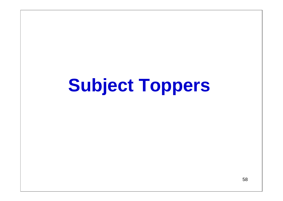## **Subject Toppers**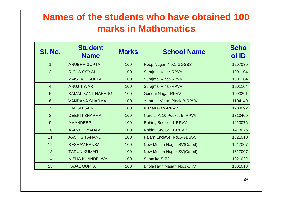#### **Names of the students who have obtained 100 marks in Mathematics**

| SI. No.         | <b>Student</b><br><b>Name</b> | <b>Marks</b> | <b>School Name</b>          | <b>Scho</b><br>ol ID |
|-----------------|-------------------------------|--------------|-----------------------------|----------------------|
| $\mathbf{1}$    | <b>ANUBHA GUPTA</b>           | 100          | Roop Nagar, No.1-GGSSS      | 1207039              |
| 2               | <b>RICHA GOYAL</b>            | 100          | <b>Surajmal Vihar-RPVV</b>  | 1001104              |
| $\overline{3}$  | <b>VAISHALI GUPTA</b>         | 100          | <b>Surajmal Vihar-RPVV</b>  | 1001104              |
| $\overline{4}$  | <b>ANUJ TIWARI</b>            | 100          | <b>Surajmal Vihar-RPVV</b>  | 1001104              |
| $5\phantom{1}$  | <b>KAMAL KANT NARANG</b>      | 100          | <b>Gandhi Nagar-RPVV</b>    | 1003261              |
| 6               | <b>VANDANA SHARMA</b>         | 100          | Yamuna Vihar, Block B-RPVV  | 1104149              |
| $\overline{7}$  | <b>UMESH SAINI</b>            | 100          | Kishan Ganj-RPVV            | 1208092              |
| 8               | <b>DEEPTI SHARMA</b>          | 100          | Narela, A-10 Pocket-5, RPVV | 1310409              |
| 9               | <b>AMANDEEP</b>               | 100          | Rohini, Sector 11-RPVV      | 1413076              |
| 10              | <b>AARZOO YADAV</b>           | 100          | Rohini, Sector 11-RPVV      | 1413076              |
| 11              | <b>AASHISH ANAND</b>          | 100          | Palam Enclave, No.3-GBSSS   | 1821010              |
| 12 <sup>°</sup> | <b>KESHAV BANSAL</b>          | 100          | New Multan Nagar-SV(Co-ed)  | 1617007              |
| 13              | <b>TARUN KUMAR</b>            | 100          | New Multan Nagar-SV(Co-ed)  | 1617007              |
| 14              | <b>NISHA KHANDELWAL</b>       | 100          | Samalka-SKV                 | 1821022              |
| 15              | <b>KAJAL GUPTA</b>            | 100          | Bhola Nath Nagar, No.1-SKV  | 1001018              |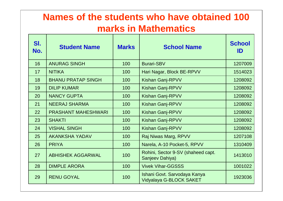#### **Names of the students who have obtained 100 marks in Mathematics**

| SI.<br>No. | <b>Student Name</b>        | <b>Marks</b> | <b>School Name</b>                                      | <b>School</b><br>ID |
|------------|----------------------------|--------------|---------------------------------------------------------|---------------------|
| 16         | <b>ANURAG SINGH</b>        | 100          | <b>Burari-SBV</b>                                       | 1207009             |
| 17         | <b>NITIKA</b>              | 100          | Hari Nagar, Block BE-RPVV                               | 1514023             |
| 18         | <b>BHANU PRATAP SINGH</b>  | 100          | <b>Kishan Ganj-RPVV</b>                                 | 1208092             |
| 19         | <b>DILIP KUMAR</b>         | 100          | <b>Kishan Ganj-RPVV</b>                                 | 1208092             |
| 20         | <b>NANCY GUPTA</b>         | 100          | <b>Kishan Ganj-RPVV</b>                                 | 1208092             |
| 21         | <b>NEERAJ SHARMA</b>       | 100          | <b>Kishan Ganj-RPVV</b>                                 | 1208092             |
| 22         | <b>PRASHANT MAHESHWARI</b> | 100          | <b>Kishan Ganj-RPVV</b>                                 | 1208092             |
| 23         | <b>SHAKTI</b>              | 100          | <b>Kishan Ganj-RPVV</b>                                 | 1208092             |
| 24         | <b>VISHAL SINGH</b>        | 100          | <b>Kishan Ganj-RPVV</b>                                 | 1208092             |
| 25         | <b>AKANKSHA YADAV</b>      | 100          | Raj Niwas Marg, RPVV                                    | 1207108             |
| 26         | <b>PRIYA</b>               | 100          | Narela, A-10 Pocket-5, RPVV                             | 1310409             |
| 27         | <b>ABHISHEK AGGARWAL</b>   | 100          | Rohini, Sector 9-SV (shaheed capt.<br>Sanjeev Dahiya)   | 1413010             |
| 28         | <b>DIMPLE ARORA</b>        | 100          | <b>Vivek Vihar-GGSSS</b>                                | 1001022             |
| 29         | <b>RENU GOYAL</b>          | 100          | Ishani Govt. Sarvodaya Kanya<br>Vidyalaya G-BLOCK SAKET | 1923036             |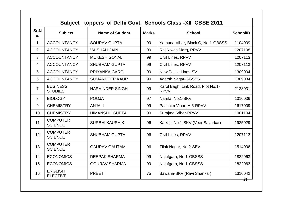|                 | <b>Subject</b>                           |                        |              | toppers of Delhi Govt. Schools Class - XII CBSE 2011 |                 |
|-----------------|------------------------------------------|------------------------|--------------|------------------------------------------------------|-----------------|
| Sr.N<br>o.      | <b>Subject</b>                           | <b>Name of Student</b> | <b>Marks</b> | <b>School</b>                                        | <b>SchoolID</b> |
| $\mathbf{1}$    | <b>ACCOUNTANCY</b>                       | <b>SOURAV GUPTA</b>    | 99           | Yamuna Vihar, Block C, No.1-GBSSS                    | 1104009         |
| 2               | <b>ACCOUNTANCY</b>                       | <b>VAISHALI JAIN</b>   | 99           | Raj Niwas Marg, RPVV                                 | 1207108         |
| 3               | <b>ACCOUNTANCY</b>                       | <b>MUKESH GOYAL</b>    | 99           | Civil Lines, RPVV                                    | 1207113         |
| 4               | <b>ACCOUNTANCY</b>                       | <b>SHUBHAM GUPTA</b>   | 99           | Civil Lines, RPVV                                    | 1207113         |
| 5               | <b>ACCOUNTANCY</b>                       | <b>PRIYANKA GARG</b>   | 99           | <b>New Police Lines-SV</b>                           | 1309004         |
| 6               | <b>ACCOUNTANCY</b>                       | <b>SUMANDEEP KAUR</b>  | 99           | <b>Adarsh Nagar-GGSSS</b>                            | 1309034         |
| $\overline{7}$  | <b>BUSINESS</b><br><b>STUDIES</b>        | <b>HARVINDER SINGH</b> | 99           | Karol Bagh, Link Road, Plot No.1-<br><b>RPVV</b>     | 2128031         |
| 8               | <b>BIOLOGY</b>                           | <b>POOJA</b>           | 97           | Narela, No.1-SKV                                     | 1310036         |
| 9               | <b>CHEMISTRY</b>                         | <b>ANJALI</b>          | 99           | Paschim Vihar, A 6-RPVV                              | 1617009         |
| 10              | <b>CHEMISTRY</b>                         | <b>HIMANSHU GUPTA</b>  | 99           | <b>Surajmal Vihar-RPVV</b>                           | 1001104         |
| 11              | <b>COMPUTER</b><br><b>SCIENCE</b>        | <b>SURBHI KAUSHIK</b>  | 96           | Kalkaji, No.1-SKV (Veer Savarkar)                    | 1925029         |
| 12 <sup>2</sup> | <b>COMPUTER</b><br><b>SCIENCE</b>        | <b>SHUBHAM GUPTA</b>   | 96           | Civil Lines, RPVV                                    | 1207113         |
| 13              | <b>COMPUTER</b><br><b>SCIENCE</b>        | <b>GAURAV GAUTAM</b>   | 96           | Tilak Nagar, No.2-SBV                                | 1514006         |
| 14              | <b>ECONOMICS</b>                         | <b>DEEPAK SHARMA</b>   | 99           | Najafgarh, No.1-GBSSS                                | 1822063         |
| 15              | <b>ECONOMICS</b><br><b>GOURAV SHARMA</b> |                        | 99           | Najafgarh, No.1-GBSSS                                | 1822063         |
| 16              | <b>ENGLISH</b><br><b>ELECTIVE</b>        | <b>PREETI</b>          | 75           | Bawana-SKV (Ravi Shankar)                            | 1310042<br>61   |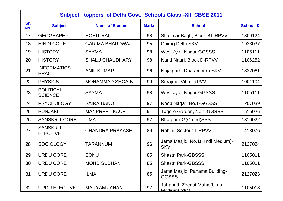| toppers of Delhi Govt. Schools Class - XII CBSE 2011<br><b>Subject</b> |                                    |                        |              |                                                |                  |
|------------------------------------------------------------------------|------------------------------------|------------------------|--------------|------------------------------------------------|------------------|
| Sr.<br>No.                                                             | <b>Subject</b>                     | <b>Name of Student</b> | <b>Marks</b> | <b>School</b>                                  | <b>School ID</b> |
| 17                                                                     | <b>GEOGRAPHY</b>                   | <b>ROHIT RAI</b>       | 98           | Shalimar Bagh, Block BT-RPVV                   | 1309124          |
| 18                                                                     | <b>HINDI CORE</b>                  | <b>GARIMA BHARDWAJ</b> | 95           | Chirag Delhi-SKV                               | 1923037          |
| 19                                                                     | <b>HISTORY</b>                     | <b>SAYMA</b>           | 98           | West Jyoti Nagar-GGSSS                         | 1105111          |
| 20                                                                     | <b>HISTORY</b>                     | <b>SHALU CHAUDHARY</b> | 98           | Nand Nagri, Block D-RPVV                       | 1106252          |
| 21                                                                     | <b>INFORMATICS</b><br>PRAC.        | <b>ANIL KUMAR</b>      | 96           | Najafgarh, Dharampura-SKV                      | 1822061          |
| 22                                                                     | <b>PHYSICS</b>                     | <b>MOHAMMAD SHOAIB</b> | 99           | <b>Surajmal Vihar-RPVV</b>                     | 1001104          |
| 23                                                                     | <b>POLITICAL</b><br><b>SCIENCE</b> | <b>SAYMA</b>           | 98           | West Jyoti Nagar-GGSSS                         | 1105111          |
| 24                                                                     | <b>PSYCHOLOGY</b>                  | <b>SAIRA BANO</b>      | 97           | Roop Nagar, No.1-GGSSS                         | 1207039          |
| 25                                                                     | <b>PUNJABI</b>                     | <b>MANPREET KAUR</b>   | 91           | Tagore Garden, No.1-GGSSS                      | 1515026          |
| 26                                                                     | <b>SANSKRIT CORE</b>               | <b>UMA</b>             | 97           | Bhorgarh-G(Co-ed)SSS                           | 1310022          |
| 27                                                                     | <b>SANSKRIT</b><br><b>ELECTIVE</b> | <b>CHANDRA PRAKASH</b> | 89           | Rohini, Sector 11-RPVV                         | 1413076          |
| 28                                                                     | <b>SOCIOLOGY</b>                   | <b>TARANNUM</b>        | 96           | Jama Masjid, No.1(Hindi Medium)-<br><b>SKV</b> | 2127024          |
| 29                                                                     | <b>URDU CORE</b>                   | <b>SONU</b>            | 85           | <b>Shastri Park-GBSSS</b>                      | 1105011          |
| 30                                                                     | <b>URDU CORE</b>                   | <b>MOHD SUBHAN</b>     | 85           | <b>Shastri Park-GBSSS</b>                      | 1105011          |
| 31                                                                     | <b>URDU CORE</b>                   | <b>ILMA</b>            | 85           | Jama Masjid, Panama Building-<br><b>GGSSS</b>  | 2127023          |
| 32                                                                     | <b>URDU ELECTIVE</b>               | <b>MARYAM JAHAN</b>    | 97           | Jafrabad, Zeenat Mahal(Urdu<br>Medium)-SKV     | 1105018          |